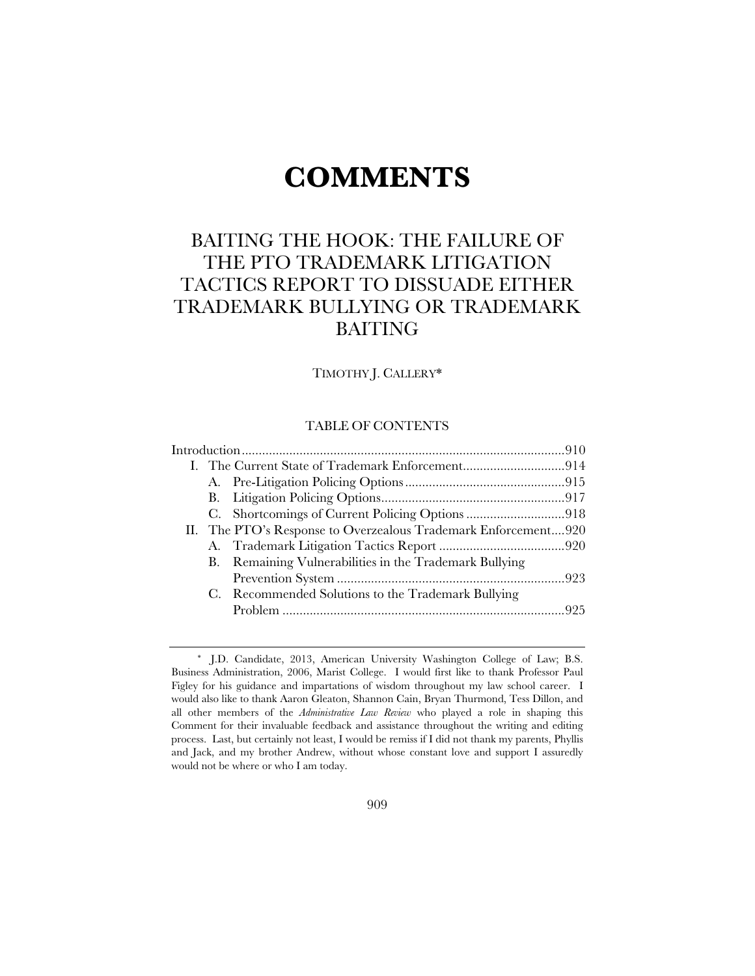# **COMMENTS**

# BAITING THE HOOK: THE FAILURE OF THE PTO TRADEMARK LITIGATION TACTICS REPORT TO DISSUADE EITHER TRADEMARK BULLYING OR TRADEMARK BAITING

TIMOTHY J. CALLERY\*

# TABLE OF CONTENTS

|  |  | II. The PTO's Response to Overzealous Trademark Enforcement920 |  |  |
|--|--|----------------------------------------------------------------|--|--|
|  |  |                                                                |  |  |
|  |  | B. Remaining Vulnerabilities in the Trademark Bullying         |  |  |
|  |  |                                                                |  |  |
|  |  | C. Recommended Solutions to the Trademark Bullying             |  |  |
|  |  |                                                                |  |  |
|  |  |                                                                |  |  |

<sup>\*</sup> J.D. Candidate, 2013, American University Washington College of Law; B.S. Business Administration, 2006, Marist College. I would first like to thank Professor Paul Figley for his guidance and impartations of wisdom throughout my law school career. I would also like to thank Aaron Gleaton, Shannon Cain, Bryan Thurmond, Tess Dillon, and all other members of the *Administrative Law Review* who played a role in shaping this Comment for their invaluable feedback and assistance throughout the writing and editing process. Last, but certainly not least, I would be remiss if I did not thank my parents, Phyllis and Jack, and my brother Andrew, without whose constant love and support I assuredly would not be where or who I am today.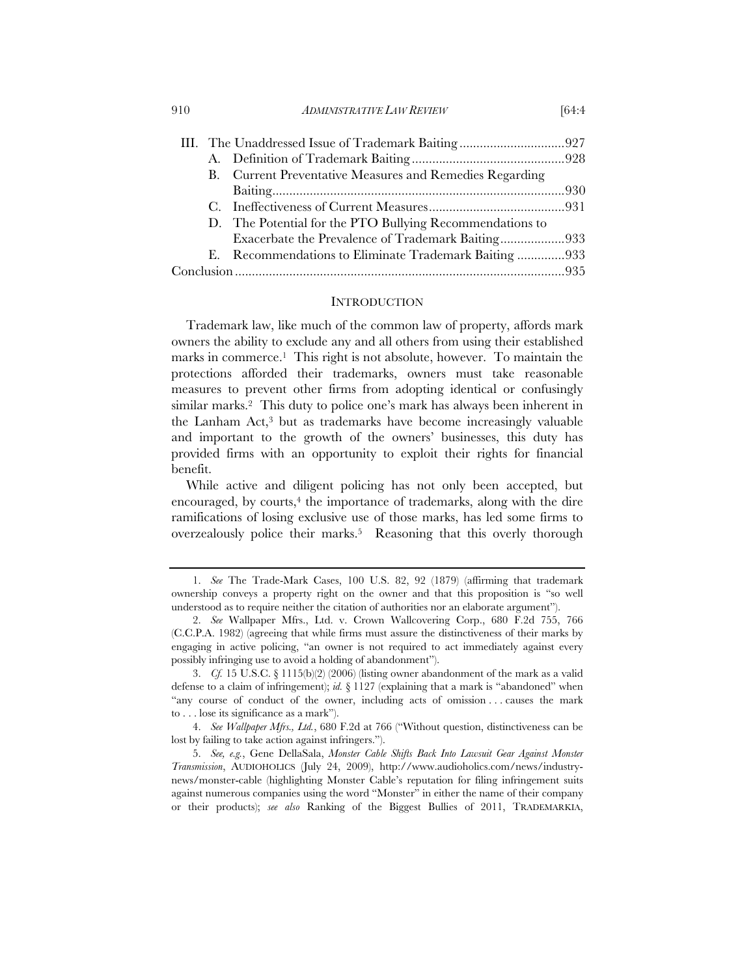910 *ADMINISTRATIVE LAW REVIEW* [64:4

|  |  | B. Current Preventative Measures and Remedies Regarding  |  |  |
|--|--|----------------------------------------------------------|--|--|
|  |  |                                                          |  |  |
|  |  |                                                          |  |  |
|  |  | D. The Potential for the PTO Bullying Recommendations to |  |  |
|  |  | Exacerbate the Prevalence of Trademark Baiting933        |  |  |
|  |  | E. Recommendations to Eliminate Trademark Baiting933     |  |  |
|  |  |                                                          |  |  |
|  |  |                                                          |  |  |

#### **INTRODUCTION**

Trademark law, like much of the common law of property, affords mark owners the ability to exclude any and all others from using their established marks in commerce.1 This right is not absolute, however. To maintain the protections afforded their trademarks, owners must take reasonable measures to prevent other firms from adopting identical or confusingly similar marks.2 This duty to police one's mark has always been inherent in the Lanham Act,3 but as trademarks have become increasingly valuable and important to the growth of the owners' businesses, this duty has provided firms with an opportunity to exploit their rights for financial benefit.

While active and diligent policing has not only been accepted, but encouraged, by courts,<sup>4</sup> the importance of trademarks, along with the dire ramifications of losing exclusive use of those marks, has led some firms to overzealously police their marks.<sup>5</sup> Reasoning that this overly thorough

 <sup>1.</sup> *See* The Trade-Mark Cases, 100 U.S. 82, 92 (1879) (affirming that trademark ownership conveys a property right on the owner and that this proposition is "so well understood as to require neither the citation of authorities nor an elaborate argument").

 <sup>2.</sup> *See* Wallpaper Mfrs., Ltd. v. Crown Wallcovering Corp., 680 F.2d 755, 766 (C.C.P.A. 1982) (agreeing that while firms must assure the distinctiveness of their marks by engaging in active policing, "an owner is not required to act immediately against every possibly infringing use to avoid a holding of abandonment").

 <sup>3.</sup> *Cf.* 15 U.S.C. § 1115(b)(2) (2006) (listing owner abandonment of the mark as a valid defense to a claim of infringement); *id.* § 1127 (explaining that a mark is "abandoned" when "any course of conduct of the owner, including acts of omission . . . causes the mark to . . . lose its significance as a mark").

 <sup>4.</sup> *See Wallpaper Mfrs., Ltd.*, 680 F.2d at 766 ("Without question, distinctiveness can be lost by failing to take action against infringers.").

 <sup>5.</sup> *See, e.g.*, Gene DellaSala, *Monster Cable Shifts Back Into Lawsuit Gear Against Monster Transmission*, AUDIOHOLICS (July 24, 2009), http://www.audioholics.com/news/industrynews/monster-cable (highlighting Monster Cable's reputation for filing infringement suits against numerous companies using the word "Monster" in either the name of their company or their products); *see also* Ranking of the Biggest Bullies of 2011, TRADEMARKIA,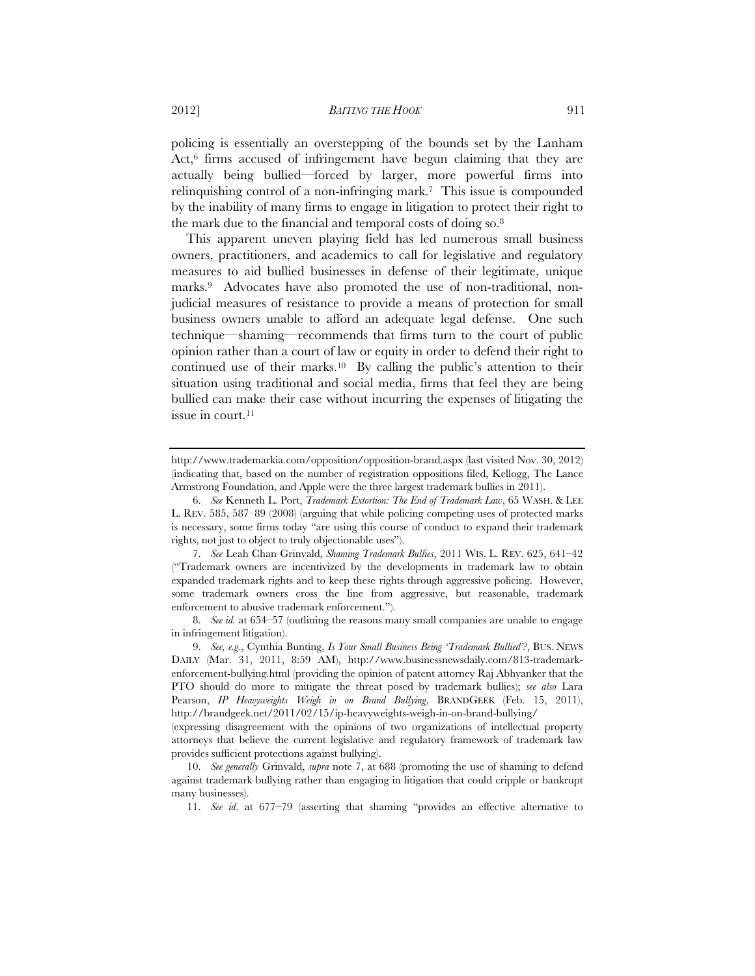policing is essentially an overstepping of the bounds set by the Lanham Act,<sup>6</sup> firms accused of infringement have begun claiming that they are actually being bullied—forced by larger, more powerful firms into relinquishing control of a non-infringing mark.7 This issue is compounded by the inability of many firms to engage in litigation to protect their right to the mark due to the financial and temporal costs of doing so.8

This apparent uneven playing field has led numerous small business owners, practitioners, and academics to call for legislative and regulatory measures to aid bullied businesses in defense of their legitimate, unique marks.9 Advocates have also promoted the use of non-traditional, nonjudicial measures of resistance to provide a means of protection for small business owners unable to afford an adequate legal defense. One such technique—shaming—recommends that firms turn to the court of public opinion rather than a court of law or equity in order to defend their right to continued use of their marks.10 By calling the public's attention to their situation using traditional and social media, firms that feel they are being bullied can make their case without incurring the expenses of litigating the issue in court.11

http://www.trademarkia.com/opposition/opposition-brand.aspx (last visited Nov. 30, 2012) (indicating that, based on the number of registration oppositions filed, Kellogg, The Lance Armstrong Foundation, and Apple were the three largest trademark bullies in 2011).

 <sup>6.</sup> *See* Kenneth L. Port, *Trademark Extortion: The End of Trademark Law*, 65 WASH. & LEE L. REV. 585, 587–89 (2008) (arguing that while policing competing uses of protected marks is necessary, some firms today "are using this course of conduct to expand their trademark rights, not just to object to truly objectionable uses").

 <sup>7.</sup> *See* Leah Chan Grinvald, *Shaming Trademark Bullies*, 2011 WIS. L. REV. 625, 641–42 ("Trademark owners are incentivized by the developments in trademark law to obtain expanded trademark rights and to keep these rights through aggressive policing. However, some trademark owners cross the line from aggressive, but reasonable, trademark enforcement to abusive trademark enforcement.").

 <sup>8.</sup> *See id.* at 654–57 (outlining the reasons many small companies are unable to engage in infringement litigation).

 <sup>9.</sup> *See, e.g.*, Cynthia Bunting, *Is Your Small Business Being 'Trademark Bullied'?*, BUS. NEWS DAILY (Mar. 31, 2011, 8:59 AM), http://www.businessnewsdaily.com/813-trademarkenforcement-bullying.html (providing the opinion of patent attorney Raj Abhyanker that the PTO should do more to mitigate the threat posed by trademark bullies); *see also* Lara Pearson, *IP Heavyweights Weigh in on Brand Bullying*, BRANDGEEK (Feb. 15, 2011), http://brandgeek.net/2011/02/15/ip-heavyweights-weigh-in-on-brand-bullying/

<sup>(</sup>expressing disagreement with the opinions of two organizations of intellectual property attorneys that believe the current legislative and regulatory framework of trademark law provides sufficient protections against bullying).

 <sup>10.</sup> *See generally* Grinvald, *supra* note 7, at 688 (promoting the use of shaming to defend against trademark bullying rather than engaging in litigation that could cripple or bankrupt many businesses).

 <sup>11.</sup> *See id*. at 677–79 (asserting that shaming "provides an effective alternative to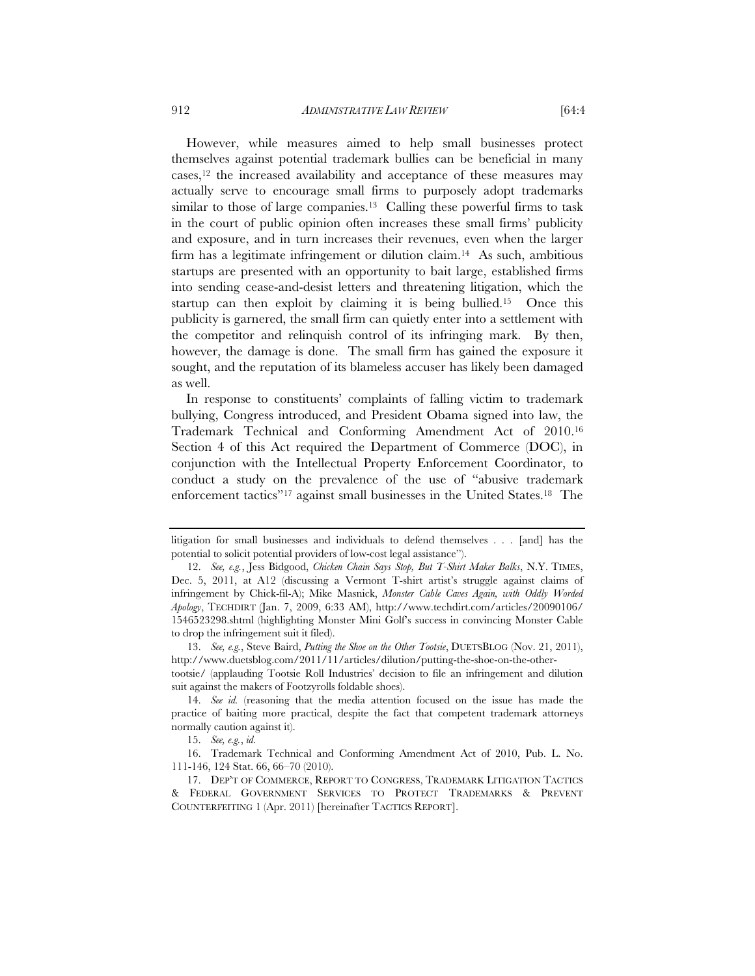However, while measures aimed to help small businesses protect themselves against potential trademark bullies can be beneficial in many cases,12 the increased availability and acceptance of these measures may actually serve to encourage small firms to purposely adopt trademarks similar to those of large companies.<sup>13</sup> Calling these powerful firms to task in the court of public opinion often increases these small firms' publicity and exposure, and in turn increases their revenues, even when the larger firm has a legitimate infringement or dilution claim.14 As such, ambitious startups are presented with an opportunity to bait large, established firms into sending cease-and-desist letters and threatening litigation, which the startup can then exploit by claiming it is being bullied.15 Once this publicity is garnered, the small firm can quietly enter into a settlement with the competitor and relinquish control of its infringing mark. By then, however, the damage is done. The small firm has gained the exposure it sought, and the reputation of its blameless accuser has likely been damaged as well.

In response to constituents' complaints of falling victim to trademark bullying, Congress introduced, and President Obama signed into law, the Trademark Technical and Conforming Amendment Act of 2010.16 Section 4 of this Act required the Department of Commerce (DOC), in conjunction with the Intellectual Property Enforcement Coordinator, to conduct a study on the prevalence of the use of "abusive trademark enforcement tactics"17 against small businesses in the United States.18 The

 13. *See, e.g.*, Steve Baird, *Putting the Shoe on the Other Tootsie*, DUETSBLOG (Nov. 21, 2011), http://www.duetsblog.com/2011/11/articles/dilution/putting-the-shoe-on-the-other-

tootsie/ (applauding Tootsie Roll Industries' decision to file an infringement and dilution suit against the makers of Footzyrolls foldable shoes).

litigation for small businesses and individuals to defend themselves . . . [and] has the potential to solicit potential providers of low-cost legal assistance").

 <sup>12.</sup> *See, e.g.*, Jess Bidgood, *Chicken Chain Says Stop, But T-Shirt Maker Balks*, N.Y. TIMES, Dec. 5, 2011, at A12 (discussing a Vermont T-shirt artist's struggle against claims of infringement by Chick-fil-A); Mike Masnick, *Monster Cable Caves Again, with Oddly Worded Apology*, TECHDIRT (Jan. 7, 2009, 6:33 AM), http://www.techdirt.com/articles/20090106/ 1546523298.shtml (highlighting Monster Mini Golf's success in convincing Monster Cable to drop the infringement suit it filed).

 <sup>14.</sup> *See id.* (reasoning that the media attention focused on the issue has made the practice of baiting more practical, despite the fact that competent trademark attorneys normally caution against it).

 <sup>15.</sup> *See, e.g.*, *id.*

 <sup>16.</sup> Trademark Technical and Conforming Amendment Act of 2010, Pub. L. No. 111-146, 124 Stat. 66, 66–70 (2010).

 <sup>17.</sup> DEP'T OF COMMERCE, REPORT TO CONGRESS, TRADEMARK LITIGATION TACTICS & FEDERAL GOVERNMENT SERVICES TO PROTECT TRADEMARKS & PREVENT COUNTERFEITING 1 (Apr. 2011) [hereinafter TACTICS REPORT].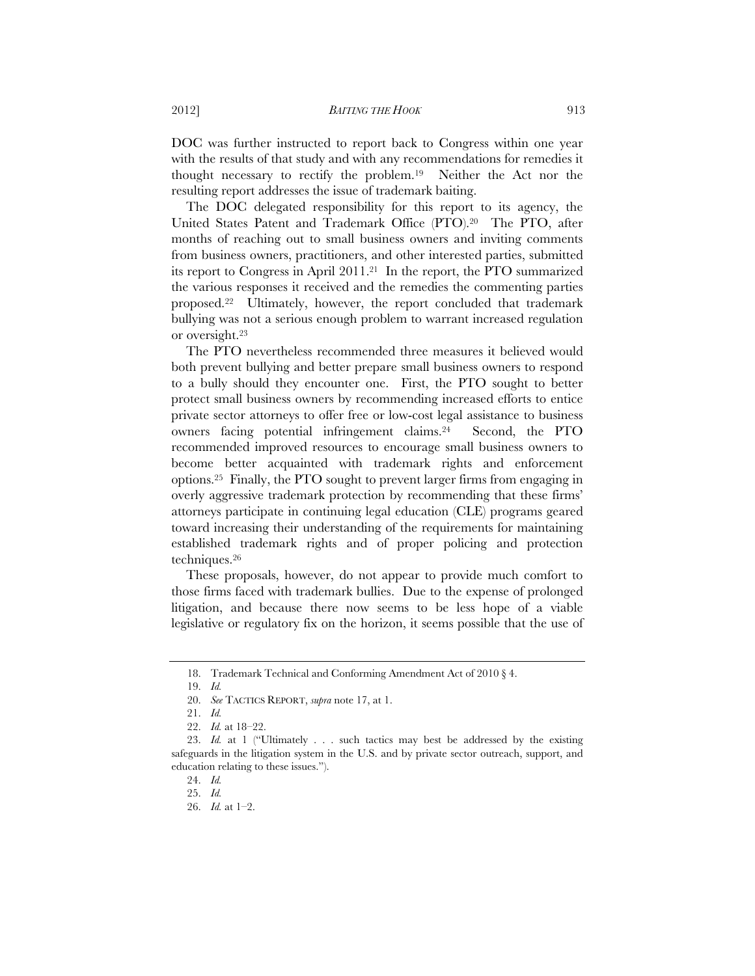DOC was further instructed to report back to Congress within one year with the results of that study and with any recommendations for remedies it thought necessary to rectify the problem.19 Neither the Act nor the resulting report addresses the issue of trademark baiting.

The DOC delegated responsibility for this report to its agency, the United States Patent and Trademark Office (PTO).20 The PTO, after months of reaching out to small business owners and inviting comments from business owners, practitioners, and other interested parties, submitted its report to Congress in April 2011.21 In the report, the PTO summarized the various responses it received and the remedies the commenting parties proposed.22 Ultimately, however, the report concluded that trademark bullying was not a serious enough problem to warrant increased regulation or oversight.23

The PTO nevertheless recommended three measures it believed would both prevent bullying and better prepare small business owners to respond to a bully should they encounter one. First, the PTO sought to better protect small business owners by recommending increased efforts to entice private sector attorneys to offer free or low-cost legal assistance to business owners facing potential infringement claims.24 Second, the PTO recommended improved resources to encourage small business owners to become better acquainted with trademark rights and enforcement options.25 Finally, the PTO sought to prevent larger firms from engaging in overly aggressive trademark protection by recommending that these firms' attorneys participate in continuing legal education (CLE) programs geared toward increasing their understanding of the requirements for maintaining established trademark rights and of proper policing and protection techniques.26

These proposals, however, do not appear to provide much comfort to those firms faced with trademark bullies. Due to the expense of prolonged litigation, and because there now seems to be less hope of a viable legislative or regulatory fix on the horizon, it seems possible that the use of

 <sup>18.</sup> Trademark Technical and Conforming Amendment Act of 2010 § 4.

 <sup>19.</sup> *Id.* 

 <sup>20.</sup> *See* TACTICS REPORT, *supra* note 17, at 1.

 <sup>21.</sup> *Id.*

 <sup>22.</sup> *Id.* at 18–22.

 <sup>23.</sup> *Id.* at 1 ("Ultimately . . . such tactics may best be addressed by the existing safeguards in the litigation system in the U.S. and by private sector outreach, support, and education relating to these issues.").

 <sup>24.</sup> *Id.* 

 <sup>25.</sup> *Id.* 

 <sup>26.</sup> *Id.* at 1–2.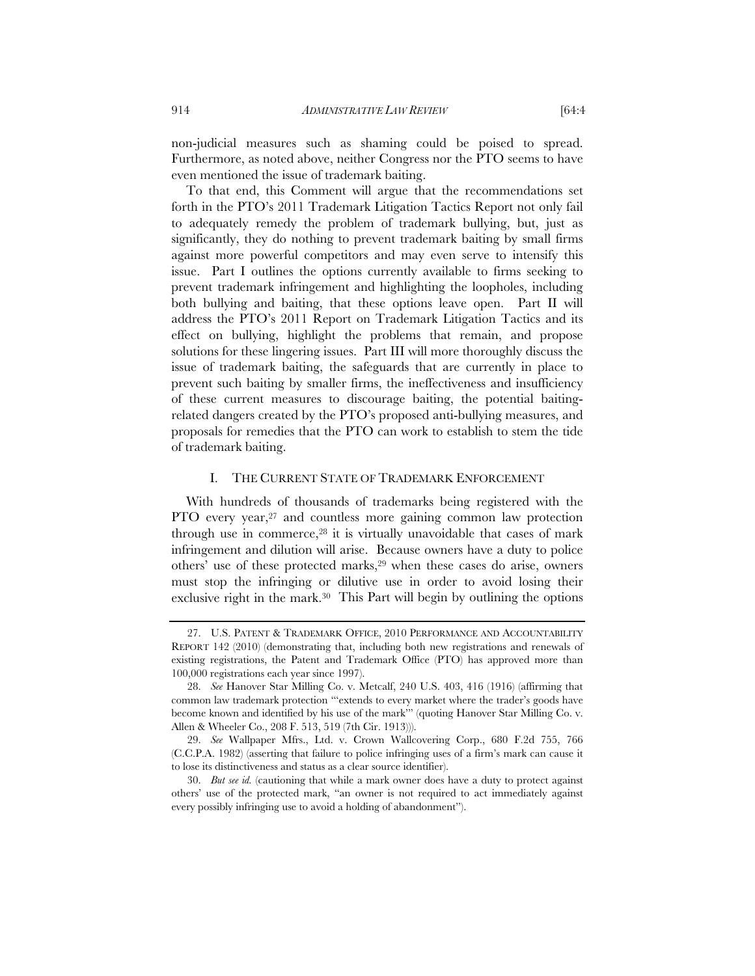non-judicial measures such as shaming could be poised to spread. Furthermore, as noted above, neither Congress nor the PTO seems to have even mentioned the issue of trademark baiting.

To that end, this Comment will argue that the recommendations set forth in the PTO's 2011 Trademark Litigation Tactics Report not only fail to adequately remedy the problem of trademark bullying, but, just as significantly, they do nothing to prevent trademark baiting by small firms against more powerful competitors and may even serve to intensify this issue. Part I outlines the options currently available to firms seeking to prevent trademark infringement and highlighting the loopholes, including both bullying and baiting, that these options leave open. Part II will address the PTO's 2011 Report on Trademark Litigation Tactics and its effect on bullying, highlight the problems that remain, and propose solutions for these lingering issues. Part III will more thoroughly discuss the issue of trademark baiting, the safeguards that are currently in place to prevent such baiting by smaller firms, the ineffectiveness and insufficiency of these current measures to discourage baiting, the potential baitingrelated dangers created by the PTO's proposed anti-bullying measures, and proposals for remedies that the PTO can work to establish to stem the tide of trademark baiting.

### I. THE CURRENT STATE OF TRADEMARK ENFORCEMENT

With hundreds of thousands of trademarks being registered with the PTO every year,<sup>27</sup> and countless more gaining common law protection through use in commerce,<sup>28</sup> it is virtually unavoidable that cases of mark infringement and dilution will arise. Because owners have a duty to police others' use of these protected marks,<sup>29</sup> when these cases do arise, owners must stop the infringing or dilutive use in order to avoid losing their exclusive right in the mark.<sup>30</sup> This Part will begin by outlining the options

 <sup>27.</sup> U.S. PATENT & TRADEMARK OFFICE, 2010 PERFORMANCE AND ACCOUNTABILITY REPORT 142 (2010) (demonstrating that, including both new registrations and renewals of existing registrations, the Patent and Trademark Office (PTO) has approved more than 100,000 registrations each year since 1997).

 <sup>28.</sup> *See* Hanover Star Milling Co. v. Metcalf, 240 U.S. 403, 416 (1916) (affirming that common law trademark protection "'extends to every market where the trader's goods have become known and identified by his use of the mark'" (quoting Hanover Star Milling Co. v. Allen & Wheeler Co., 208 F. 513, 519 (7th Cir. 1913))).

 <sup>29.</sup> *See* Wallpaper Mfrs., Ltd. v. Crown Wallcovering Corp., 680 F.2d 755, 766 (C.C.P.A. 1982) (asserting that failure to police infringing uses of a firm's mark can cause it to lose its distinctiveness and status as a clear source identifier).

 <sup>30.</sup> *But see id.* (cautioning that while a mark owner does have a duty to protect against others' use of the protected mark, "an owner is not required to act immediately against every possibly infringing use to avoid a holding of abandonment").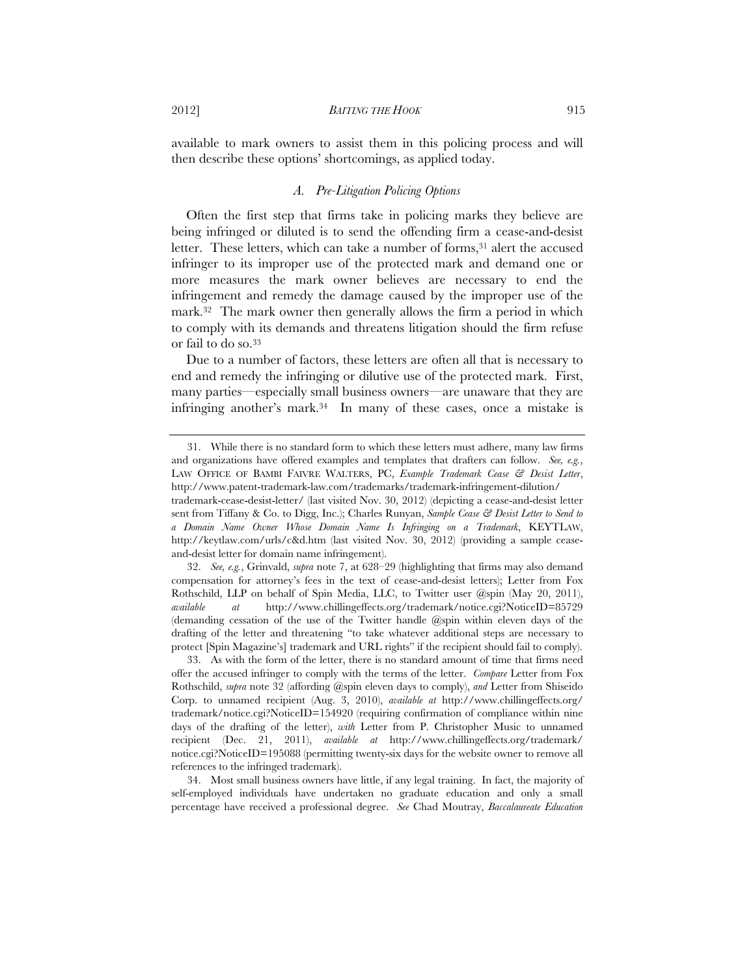available to mark owners to assist them in this policing process and will then describe these options' shortcomings, as applied today.

# *A. Pre-Litigation Policing Options*

Often the first step that firms take in policing marks they believe are being infringed or diluted is to send the offending firm a cease-and-desist letter. These letters, which can take a number of forms,<sup>31</sup> alert the accused infringer to its improper use of the protected mark and demand one or more measures the mark owner believes are necessary to end the infringement and remedy the damage caused by the improper use of the mark.32 The mark owner then generally allows the firm a period in which to comply with its demands and threatens litigation should the firm refuse or fail to do so.33

Due to a number of factors, these letters are often all that is necessary to end and remedy the infringing or dilutive use of the protected mark. First, many parties—especially small business owners—are unaware that they are infringing another's mark.34 In many of these cases, once a mistake is

 <sup>31.</sup> While there is no standard form to which these letters must adhere, many law firms and organizations have offered examples and templates that drafters can follow. *See, e.g.*, LAW OFFICE OF BAMBI FAIVRE WALTERS, PC, *Example Trademark Cease & Desist Letter*, http://www.patent-trademark-law.com/trademarks/trademark-infringement-dilution/

trademark-cease-desist-letter/ (last visited Nov. 30, 2012) (depicting a cease-and-desist letter sent from Tiffany & Co. to Digg, Inc.); Charles Runyan, *Sample Cease & Desist Letter to Send to a Domain Name Owner Whose Domain Name Is Infringing on a Trademark*, KEYTLAW, http://keytlaw.com/urls/c&d.htm (last visited Nov. 30, 2012) (providing a sample ceaseand-desist letter for domain name infringement).

 <sup>32.</sup> *See, e.g.*, Grinvald, *supra* note 7, at 628–29 (highlighting that firms may also demand compensation for attorney's fees in the text of cease-and-desist letters); Letter from Fox Rothschild, LLP on behalf of Spin Media, LLC, to Twitter user @spin (May 20, 2011), *available at* http://www.chillingeffects.org/trademark/notice.cgi?NoticeID=85729 (demanding cessation of the use of the Twitter handle @spin within eleven days of the drafting of the letter and threatening "to take whatever additional steps are necessary to protect [Spin Magazine's] trademark and URL rights" if the recipient should fail to comply).

 <sup>33.</sup> As with the form of the letter, there is no standard amount of time that firms need offer the accused infringer to comply with the terms of the letter. *Compare* Letter from Fox Rothschild, *supra* note 32 (affording @spin eleven days to comply), *and* Letter from Shiseido Corp. to unnamed recipient (Aug. 3, 2010), *available at* http://www.chillingeffects.org/ trademark/notice.cgi?NoticeID=154920 (requiring confirmation of compliance within nine days of the drafting of the letter), *with* Letter from P. Christopher Music to unnamed recipient (Dec. 21, 2011), *available at* http://www.chillingeffects.org/trademark/ notice.cgi?NoticeID=195088 (permitting twenty-six days for the website owner to remove all references to the infringed trademark).

 <sup>34.</sup> Most small business owners have little, if any legal training. In fact, the majority of self-employed individuals have undertaken no graduate education and only a small percentage have received a professional degree. *See* Chad Moutray, *Baccalaureate Education*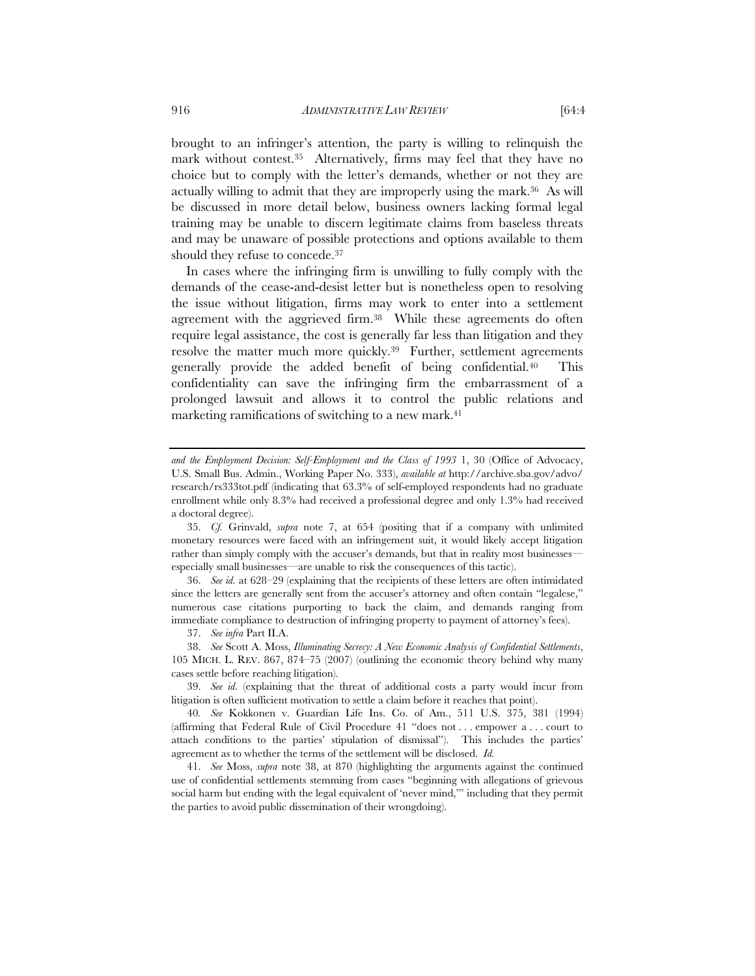brought to an infringer's attention, the party is willing to relinquish the mark without contest.35 Alternatively, firms may feel that they have no choice but to comply with the letter's demands, whether or not they are actually willing to admit that they are improperly using the mark.36 As will be discussed in more detail below, business owners lacking formal legal training may be unable to discern legitimate claims from baseless threats and may be unaware of possible protections and options available to them should they refuse to concede.37

In cases where the infringing firm is unwilling to fully comply with the demands of the cease-and-desist letter but is nonetheless open to resolving the issue without litigation, firms may work to enter into a settlement agreement with the aggrieved firm.<sup>38</sup> While these agreements do often require legal assistance, the cost is generally far less than litigation and they resolve the matter much more quickly.<sup>39</sup> Further, settlement agreements generally provide the added benefit of being confidential.40 This confidentiality can save the infringing firm the embarrassment of a prolonged lawsuit and allows it to control the public relations and marketing ramifications of switching to a new mark.<sup>41</sup>

 36. *See id.* at 628–29 (explaining that the recipients of these letters are often intimidated since the letters are generally sent from the accuser's attorney and often contain "legalese," numerous case citations purporting to back the claim, and demands ranging from immediate compliance to destruction of infringing property to payment of attorney's fees).

37. *See infra* Part II.A.

 38. *See* Scott A. Moss, *Illuminating Secrecy: A New Economic Analysis of Confidential Settlements*, 105 MICH. L. REV. 867, 874–75 (2007) (outlining the economic theory behind why many cases settle before reaching litigation).

 39. *See id.* (explaining that the threat of additional costs a party would incur from litigation is often sufficient motivation to settle a claim before it reaches that point).

40*. See* Kokkonen v. Guardian Life Ins. Co. of Am., 511 U.S. 375, 381 (1994) (affirming that Federal Rule of Civil Procedure 41 "does not . . . empower a . . . court to attach conditions to the parties' stipulation of dismissal"). This includes the parties' agreement as to whether the terms of the settlement will be disclosed. *Id.*

 41. *See* Moss, *supra* note 38, at 870 (highlighting the arguments against the continued use of confidential settlements stemming from cases "beginning with allegations of grievous social harm but ending with the legal equivalent of 'never mind,'" including that they permit the parties to avoid public dissemination of their wrongdoing).

*and the Employment Decision: Self-Employment and the Class of 1993* 1, 30 (Office of Advocacy, U.S. Small Bus. Admin., Working Paper No. 333), *available at* http://archive.sba.gov/advo/ research/rs333tot.pdf (indicating that 63.3% of self-employed respondents had no graduate enrollment while only 8.3% had received a professional degree and only 1.3% had received a doctoral degree).

 <sup>35.</sup> *Cf.* Grinvald, *supra* note 7, at 654 (positing that if a company with unlimited monetary resources were faced with an infringement suit, it would likely accept litigation rather than simply comply with the accuser's demands, but that in reality most businesses especially small businesses—are unable to risk the consequences of this tactic).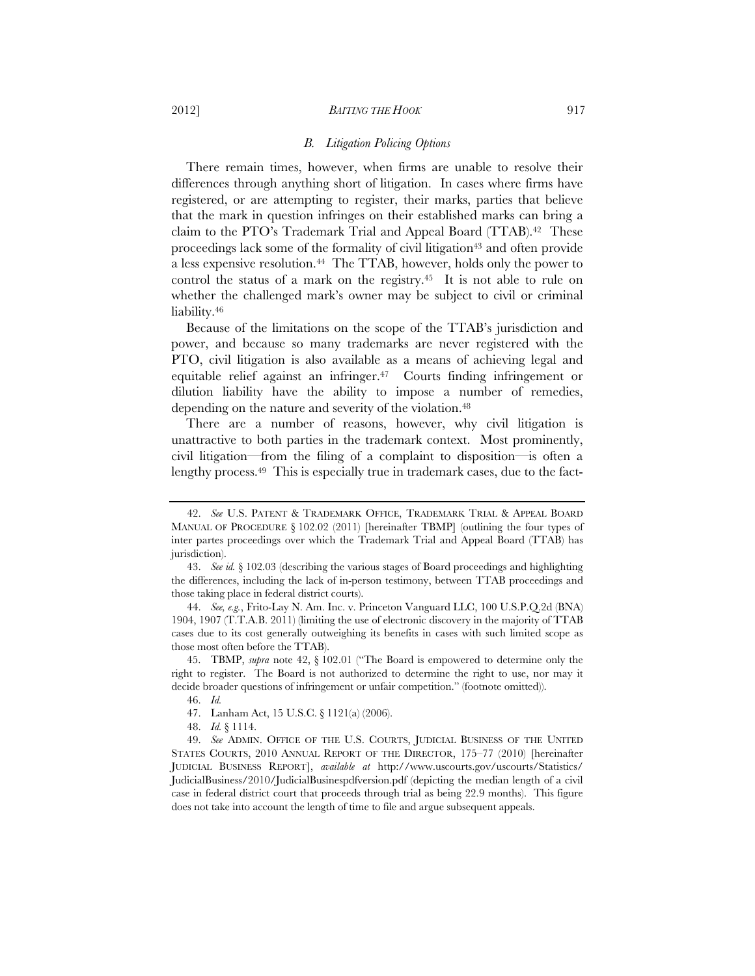#### 2012] *BAITING THE HOOK* 917

#### *B. Litigation Policing Options*

There remain times, however, when firms are unable to resolve their differences through anything short of litigation. In cases where firms have registered, or are attempting to register, their marks, parties that believe that the mark in question infringes on their established marks can bring a claim to the PTO's Trademark Trial and Appeal Board (TTAB).42 These proceedings lack some of the formality of civil litigation<sup>43</sup> and often provide a less expensive resolution.44 The TTAB, however, holds only the power to control the status of a mark on the registry.45 It is not able to rule on whether the challenged mark's owner may be subject to civil or criminal liability.<sup>46</sup>

Because of the limitations on the scope of the TTAB's jurisdiction and power, and because so many trademarks are never registered with the PTO, civil litigation is also available as a means of achieving legal and equitable relief against an infringer.47 Courts finding infringement or dilution liability have the ability to impose a number of remedies, depending on the nature and severity of the violation.48

There are a number of reasons, however, why civil litigation is unattractive to both parties in the trademark context. Most prominently, civil litigation—from the filing of a complaint to disposition—is often a lengthy process.49 This is especially true in trademark cases, due to the fact-

 44. *See, e.g.*, Frito-Lay N. Am. Inc. v. Princeton Vanguard LLC, 100 U.S.P.Q.2d (BNA) 1904, 1907 (T.T.A.B. 2011) (limiting the use of electronic discovery in the majority of TTAB cases due to its cost generally outweighing its benefits in cases with such limited scope as those most often before the TTAB).

 45. TBMP, *supra* note 42, § 102.01 ("The Board is empowered to determine only the right to register. The Board is not authorized to determine the right to use, nor may it decide broader questions of infringement or unfair competition." (footnote omitted)).

 <sup>42.</sup> *See* U.S. PATENT & TRADEMARK OFFICE, TRADEMARK TRIAL & APPEAL BOARD MANUAL OF PROCEDURE § 102.02 (2011) [hereinafter TBMP] (outlining the four types of inter partes proceedings over which the Trademark Trial and Appeal Board (TTAB) has jurisdiction).

 <sup>43.</sup> *See id.* § 102.03 (describing the various stages of Board proceedings and highlighting the differences, including the lack of in-person testimony, between TTAB proceedings and those taking place in federal district courts).

 <sup>46.</sup> *Id.*

 <sup>47.</sup> Lanham Act, 15 U.S.C. § 1121(a) (2006).

 <sup>48.</sup> *Id.* § 1114.

 <sup>49.</sup> *See* ADMIN. OFFICE OF THE U.S. COURTS, JUDICIAL BUSINESS OF THE UNITED STATES COURTS, 2010 ANNUAL REPORT OF THE DIRECTOR, 175–77 (2010) [hereinafter JUDICIAL BUSINESS REPORT], *available at* http://www.uscourts.gov/uscourts/Statistics/ JudicialBusiness/2010/JudicialBusinespdfversion.pdf (depicting the median length of a civil case in federal district court that proceeds through trial as being 22.9 months). This figure does not take into account the length of time to file and argue subsequent appeals.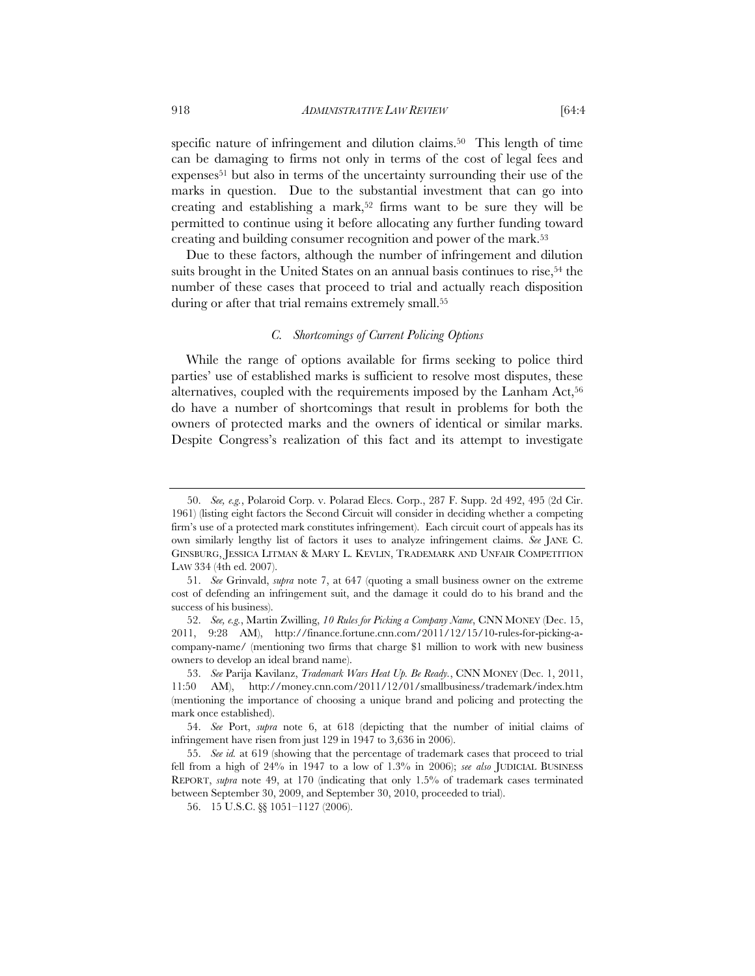specific nature of infringement and dilution claims.<sup>50</sup> This length of time can be damaging to firms not only in terms of the cost of legal fees and expenses<sup>51</sup> but also in terms of the uncertainty surrounding their use of the marks in question. Due to the substantial investment that can go into creating and establishing a mark,<sup>52</sup> firms want to be sure they will be permitted to continue using it before allocating any further funding toward creating and building consumer recognition and power of the mark.53

Due to these factors, although the number of infringement and dilution suits brought in the United States on an annual basis continues to rise,<sup>54</sup> the number of these cases that proceed to trial and actually reach disposition during or after that trial remains extremely small.<sup>55</sup>

#### *C. Shortcomings of Current Policing Options*

While the range of options available for firms seeking to police third parties' use of established marks is sufficient to resolve most disputes, these alternatives, coupled with the requirements imposed by the Lanham Act,<sup>56</sup> do have a number of shortcomings that result in problems for both the owners of protected marks and the owners of identical or similar marks. Despite Congress's realization of this fact and its attempt to investigate

 <sup>50.</sup> *See, e.g.*, Polaroid Corp. v. Polarad Elecs. Corp., 287 F. Supp. 2d 492, 495 (2d Cir. 1961) (listing eight factors the Second Circuit will consider in deciding whether a competing firm's use of a protected mark constitutes infringement). Each circuit court of appeals has its own similarly lengthy list of factors it uses to analyze infringement claims. *See* JANE C. GINSBURG, JESSICA LITMAN & MARY L. KEVLIN, TRADEMARK AND UNFAIR COMPETITION LAW 334 (4th ed. 2007).

 <sup>51.</sup> *See* Grinvald, *supra* note 7, at 647 (quoting a small business owner on the extreme cost of defending an infringement suit, and the damage it could do to his brand and the success of his business).

 <sup>52.</sup> *See, e.g.*, Martin Zwilling, *10 Rules for Picking a Company Name*, CNN MONEY (Dec. 15, 2011, 9:28 AM), http://finance.fortune.cnn.com/2011/12/15/10-rules-for-picking-acompany-name/ (mentioning two firms that charge \$1 million to work with new business owners to develop an ideal brand name).

 <sup>53.</sup> *See* Parija Kavilanz, *Trademark Wars Heat Up. Be Ready.*, CNN MONEY (Dec. 1, 2011, 11:50 AM), http://money.cnn.com/2011/12/01/smallbusiness/trademark/index.htm (mentioning the importance of choosing a unique brand and policing and protecting the mark once established).

 <sup>54.</sup> *See* Port, *supra* note 6, at 618 (depicting that the number of initial claims of infringement have risen from just 129 in 1947 to 3,636 in 2006).

 <sup>55.</sup> *See id.* at 619 (showing that the percentage of trademark cases that proceed to trial fell from a high of 24% in 1947 to a low of 1.3% in 2006); *see also* JUDICIAL BUSINESS REPORT, *supra* note 49, at 170 (indicating that only 1.5% of trademark cases terminated between September 30, 2009, and September 30, 2010, proceeded to trial).

 <sup>56. 15</sup> U.S.C. §§ 1051–1127 (2006).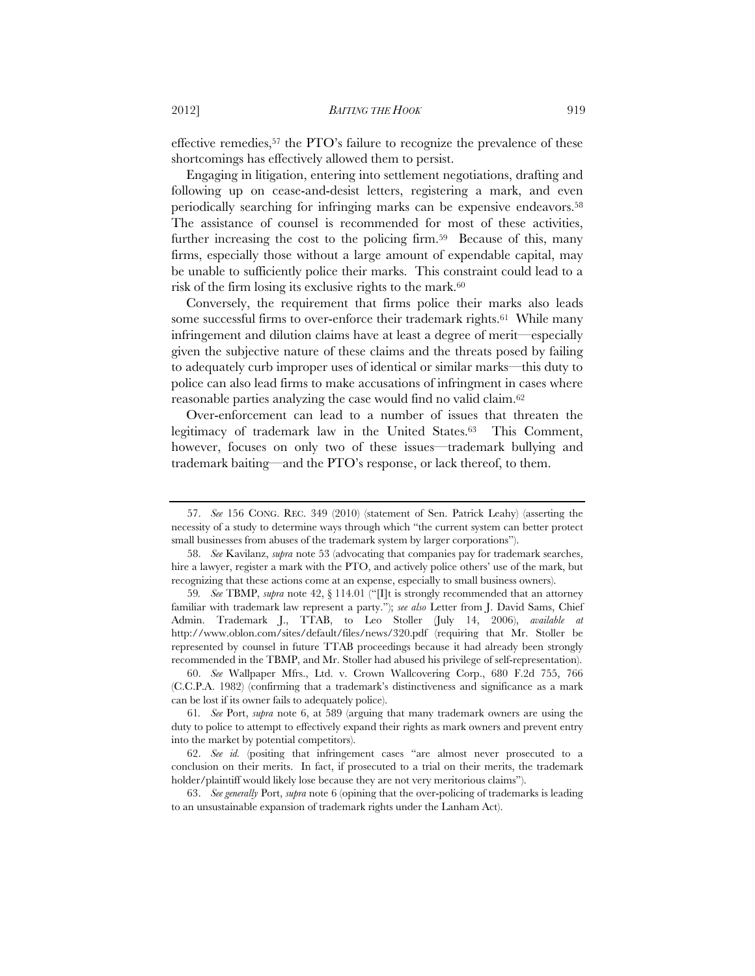effective remedies,57 the PTO's failure to recognize the prevalence of these shortcomings has effectively allowed them to persist.

Engaging in litigation, entering into settlement negotiations, drafting and following up on cease-and-desist letters, registering a mark, and even periodically searching for infringing marks can be expensive endeavors.58 The assistance of counsel is recommended for most of these activities, further increasing the cost to the policing firm.59 Because of this, many firms, especially those without a large amount of expendable capital, may be unable to sufficiently police their marks. This constraint could lead to a risk of the firm losing its exclusive rights to the mark.<sup>60</sup>

Conversely, the requirement that firms police their marks also leads some successful firms to over-enforce their trademark rights.<sup>61</sup> While many infringement and dilution claims have at least a degree of merit—especially given the subjective nature of these claims and the threats posed by failing to adequately curb improper uses of identical or similar marks—this duty to police can also lead firms to make accusations of infringment in cases where reasonable parties analyzing the case would find no valid claim.62

Over-enforcement can lead to a number of issues that threaten the legitimacy of trademark law in the United States.<sup>63</sup> This Comment, however, focuses on only two of these issues—trademark bullying and trademark baiting—and the PTO's response, or lack thereof, to them.

 <sup>57.</sup> *See* 156 CONG. REC. 349 (2010) (statement of Sen. Patrick Leahy) (asserting the necessity of a study to determine ways through which "the current system can better protect small businesses from abuses of the trademark system by larger corporations").

 <sup>58.</sup> *See* Kavilanz, *supra* note 53 (advocating that companies pay for trademark searches, hire a lawyer, register a mark with the PTO, and actively police others' use of the mark, but recognizing that these actions come at an expense, especially to small business owners).

<sup>59</sup>*. See* TBMP, *supra* note 42, § 114.01 ("[I]t is strongly recommended that an attorney familiar with trademark law represent a party."); *see also* Letter from J. David Sams, Chief Admin. Trademark J., TTAB, to Leo Stoller (July 14, 2006), *available at* http://www.oblon.com/sites/default/files/news/320.pdf (requiring that Mr. Stoller be represented by counsel in future TTAB proceedings because it had already been strongly recommended in the TBMP, and Mr. Stoller had abused his privilege of self-representation).

 <sup>60.</sup> *See* Wallpaper Mfrs., Ltd. v. Crown Wallcovering Corp., 680 F.2d 755, 766 (C.C.P.A. 1982) (confirming that a trademark's distinctiveness and significance as a mark can be lost if its owner fails to adequately police).

<sup>61</sup>*. See* Port, *supra* note 6, at 589 (arguing that many trademark owners are using the duty to police to attempt to effectively expand their rights as mark owners and prevent entry into the market by potential competitors).

 <sup>62.</sup> *See id.* (positing that infringement cases "are almost never prosecuted to a conclusion on their merits. In fact, if prosecuted to a trial on their merits, the trademark holder/plaintiff would likely lose because they are not very meritorious claims").

 <sup>63.</sup> *See generally* Port, *supra* note 6 (opining that the over-policing of trademarks is leading to an unsustainable expansion of trademark rights under the Lanham Act).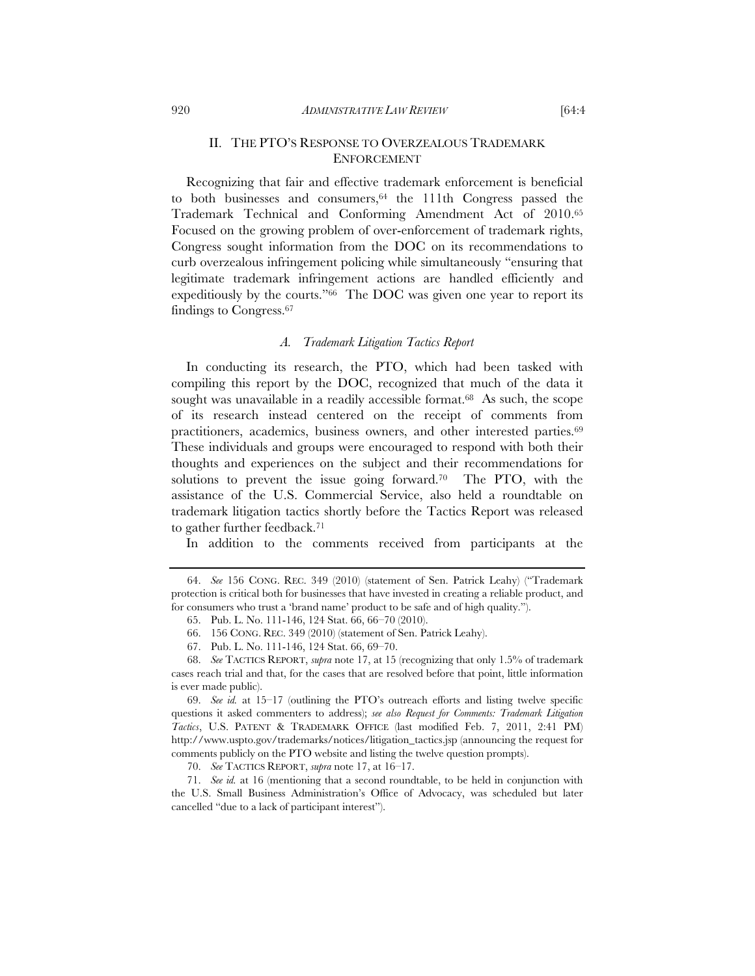# II. THE PTO'S RESPONSE TO OVERZEALOUS TRADEMARK ENFORCEMENT

Recognizing that fair and effective trademark enforcement is beneficial to both businesses and consumers,  $64$  the 111th Congress passed the Trademark Technical and Conforming Amendment Act of 2010.65 Focused on the growing problem of over-enforcement of trademark rights, Congress sought information from the DOC on its recommendations to curb overzealous infringement policing while simultaneously "ensuring that legitimate trademark infringement actions are handled efficiently and expeditiously by the courts."66 The DOC was given one year to report its findings to Congress.67

#### *A. Trademark Litigation Tactics Report*

In conducting its research, the PTO, which had been tasked with compiling this report by the DOC, recognized that much of the data it sought was unavailable in a readily accessible format.<sup>68</sup> As such, the scope of its research instead centered on the receipt of comments from practitioners, academics, business owners, and other interested parties.69 These individuals and groups were encouraged to respond with both their thoughts and experiences on the subject and their recommendations for solutions to prevent the issue going forward.70 The PTO, with the assistance of the U.S. Commercial Service, also held a roundtable on trademark litigation tactics shortly before the Tactics Report was released to gather further feedback.71

In addition to the comments received from participants at the

 <sup>64.</sup> *See* 156 CONG. REC. 349 (2010) (statement of Sen. Patrick Leahy) ("Trademark protection is critical both for businesses that have invested in creating a reliable product, and for consumers who trust a 'brand name' product to be safe and of high quality.").

 <sup>65.</sup> Pub. L. No. 111-146, 124 Stat. 66, 66–70 (2010).

 <sup>66. 156</sup> CONG. REC. 349 (2010) (statement of Sen. Patrick Leahy).

 <sup>67.</sup> Pub. L. No. 111-146, 124 Stat. 66, 69–70.

 <sup>68.</sup> *See* TACTICS REPORT, *supra* note 17, at 15 (recognizing that only 1.5% of trademark cases reach trial and that, for the cases that are resolved before that point, little information is ever made public).

 <sup>69.</sup> *See id.* at 15–17 (outlining the PTO's outreach efforts and listing twelve specific questions it asked commenters to address); *see also Request for Comments: Trademark Litigation Tactics*, U.S. PATENT & TRADEMARK OFFICE (last modified Feb. 7, 2011, 2:41 PM) http://www.uspto.gov/trademarks/notices/litigation\_tactics.jsp (announcing the request for comments publicly on the PTO website and listing the twelve question prompts).

 <sup>70.</sup> *See* TACTICS REPORT, *supra* note 17, at 16–17.

 <sup>71.</sup> *See id.* at 16 (mentioning that a second roundtable, to be held in conjunction with the U.S. Small Business Administration's Office of Advocacy, was scheduled but later cancelled "due to a lack of participant interest").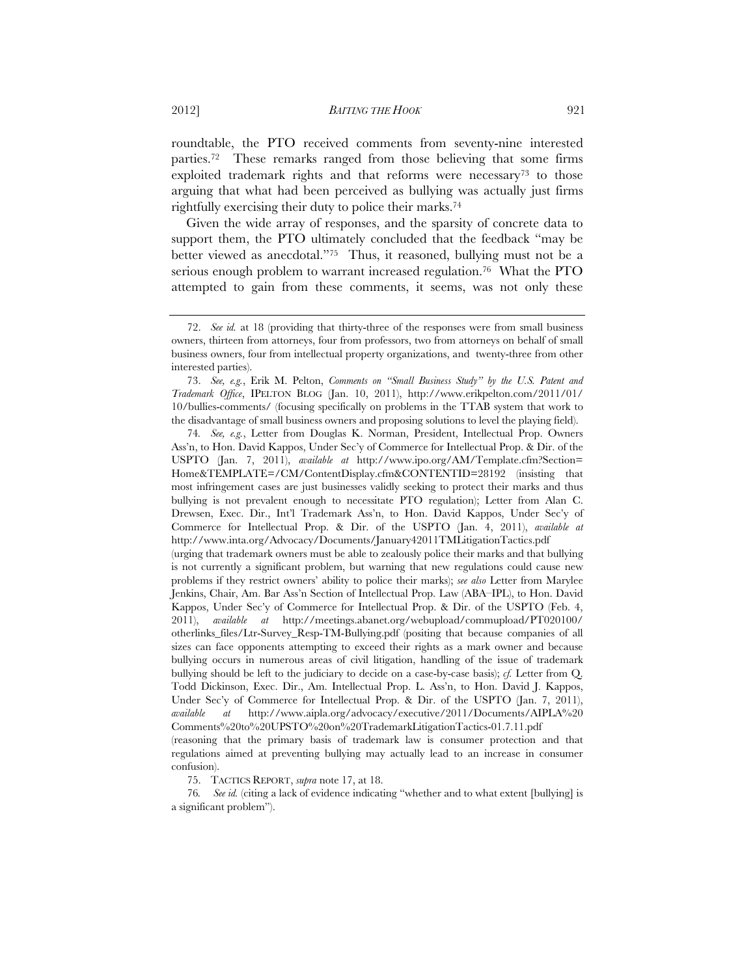roundtable, the PTO received comments from seventy-nine interested parties.72 These remarks ranged from those believing that some firms exploited trademark rights and that reforms were necessary<sup>73</sup> to those arguing that what had been perceived as bullying was actually just firms rightfully exercising their duty to police their marks.74

Given the wide array of responses, and the sparsity of concrete data to support them, the PTO ultimately concluded that the feedback "may be better viewed as anecdotal."75 Thus, it reasoned, bullying must not be a serious enough problem to warrant increased regulation.<sup>76</sup> What the PTO attempted to gain from these comments, it seems, was not only these

(urging that trademark owners must be able to zealously police their marks and that bullying is not currently a significant problem, but warning that new regulations could cause new problems if they restrict owners' ability to police their marks); *see also* Letter from Marylee Jenkins, Chair, Am. Bar Ass'n Section of Intellectual Prop. Law (ABA–IPL), to Hon. David Kappos, Under Sec'y of Commerce for Intellectual Prop. & Dir. of the USPTO (Feb. 4, 2011), *available at* http://meetings.abanet.org/webupload/commupload/PT020100/ otherlinks\_files/Ltr-Survey\_Resp-TM-Bullying.pdf (positing that because companies of all sizes can face opponents attempting to exceed their rights as a mark owner and because bullying occurs in numerous areas of civil litigation, handling of the issue of trademark bullying should be left to the judiciary to decide on a case-by-case basis); *cf.* Letter from Q. Todd Dickinson, Exec. Dir., Am. Intellectual Prop. L. Ass'n, to Hon. David J. Kappos, Under Sec'y of Commerce for Intellectual Prop. & Dir. of the USPTO (Jan. 7, 2011), *available at* http://www.aipla.org/advocacy/executive/2011/Documents/AIPLA%20 Comments%20to%20UPSTO%20on%20TrademarkLitigationTactics-01.7.11.pdf

(reasoning that the primary basis of trademark law is consumer protection and that regulations aimed at preventing bullying may actually lead to an increase in consumer confusion).

75. TACTICS REPORT, *supra* note 17, at 18.

76*. See id.* (citing a lack of evidence indicating "whether and to what extent [bullying] is a significant problem").

 <sup>72.</sup> *See id.* at 18 (providing that thirty-three of the responses were from small business owners, thirteen from attorneys, four from professors, two from attorneys on behalf of small business owners, four from intellectual property organizations, and twenty-three from other interested parties).

 <sup>73.</sup> *See, e.g.*, Erik M. Pelton, *Comments on "Small Business Study" by the U.S. Patent and Trademark Office*, IPELTON BLOG (Jan. 10, 2011), http://www.erikpelton.com/2011/01/ 10/bullies-comments/ (focusing specifically on problems in the TTAB system that work to the disadvantage of small business owners and proposing solutions to level the playing field).

<sup>74</sup>*. See, e.g.*, Letter from Douglas K. Norman, President, Intellectual Prop. Owners Ass'n, to Hon. David Kappos, Under Sec'y of Commerce for Intellectual Prop. & Dir. of the USPTO (Jan. 7, 2011), *available at* http://www.ipo.org/AM/Template.cfm?Section= Home&TEMPLATE=/CM/ContentDisplay.cfm&CONTENTID=28192 (insisting that most infringement cases are just businesses validly seeking to protect their marks and thus bullying is not prevalent enough to necessitate PTO regulation); Letter from Alan C. Drewsen, Exec. Dir., Int'l Trademark Ass'n, to Hon. David Kappos, Under Sec'y of Commerce for Intellectual Prop. & Dir. of the USPTO (Jan. 4, 2011), *available at*  http://www.inta.org/Advocacy/Documents/January42011TMLitigationTactics.pdf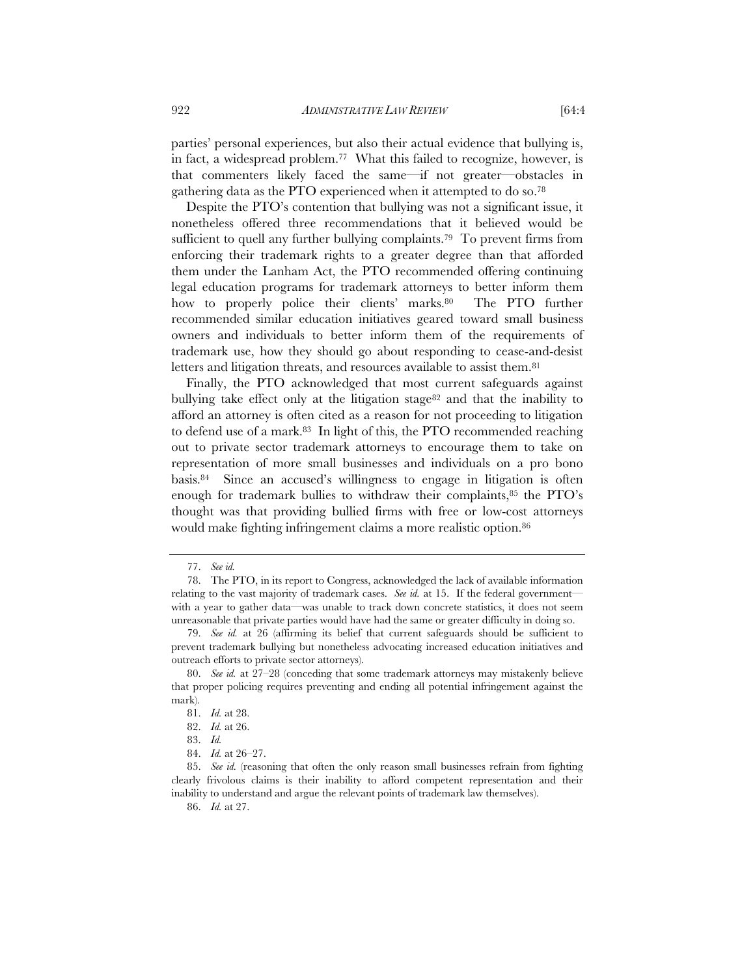parties' personal experiences, but also their actual evidence that bullying is, in fact, a widespread problem.77 What this failed to recognize, however, is that commenters likely faced the same—if not greater—obstacles in gathering data as the PTO experienced when it attempted to do so.78

Despite the PTO's contention that bullying was not a significant issue, it nonetheless offered three recommendations that it believed would be sufficient to quell any further bullying complaints.<sup>79</sup> To prevent firms from enforcing their trademark rights to a greater degree than that afforded them under the Lanham Act, the PTO recommended offering continuing legal education programs for trademark attorneys to better inform them how to properly police their clients' marks.<sup>80</sup> The PTO further recommended similar education initiatives geared toward small business owners and individuals to better inform them of the requirements of trademark use, how they should go about responding to cease-and-desist letters and litigation threats, and resources available to assist them.<sup>81</sup>

Finally, the PTO acknowledged that most current safeguards against bullying take effect only at the litigation stage<sup>82</sup> and that the inability to afford an attorney is often cited as a reason for not proceeding to litigation to defend use of a mark.83 In light of this, the PTO recommended reaching out to private sector trademark attorneys to encourage them to take on representation of more small businesses and individuals on a pro bono basis.84 Since an accused's willingness to engage in litigation is often enough for trademark bullies to withdraw their complaints,<sup>85</sup> the PTO's thought was that providing bullied firms with free or low-cost attorneys would make fighting infringement claims a more realistic option.86

 <sup>77.</sup> *See id.*

 <sup>78.</sup> The PTO, in its report to Congress, acknowledged the lack of available information relating to the vast majority of trademark cases. *See id.* at 15. If the federal government with a year to gather data—was unable to track down concrete statistics, it does not seem unreasonable that private parties would have had the same or greater difficulty in doing so.

 <sup>79.</sup> *See id.* at 26 (affirming its belief that current safeguards should be sufficient to prevent trademark bullying but nonetheless advocating increased education initiatives and outreach efforts to private sector attorneys).

 <sup>80.</sup> *See id.* at 27–28 (conceding that some trademark attorneys may mistakenly believe that proper policing requires preventing and ending all potential infringement against the mark).

 <sup>81.</sup> *Id.* at 28.

 <sup>82.</sup> *Id.* at 26.

 <sup>83.</sup> *Id.*

 <sup>84.</sup> *Id.* at 26–27.

 <sup>85.</sup> *See id.* (reasoning that often the only reason small businesses refrain from fighting clearly frivolous claims is their inability to afford competent representation and their inability to understand and argue the relevant points of trademark law themselves).

 <sup>86.</sup> *Id.* at 27.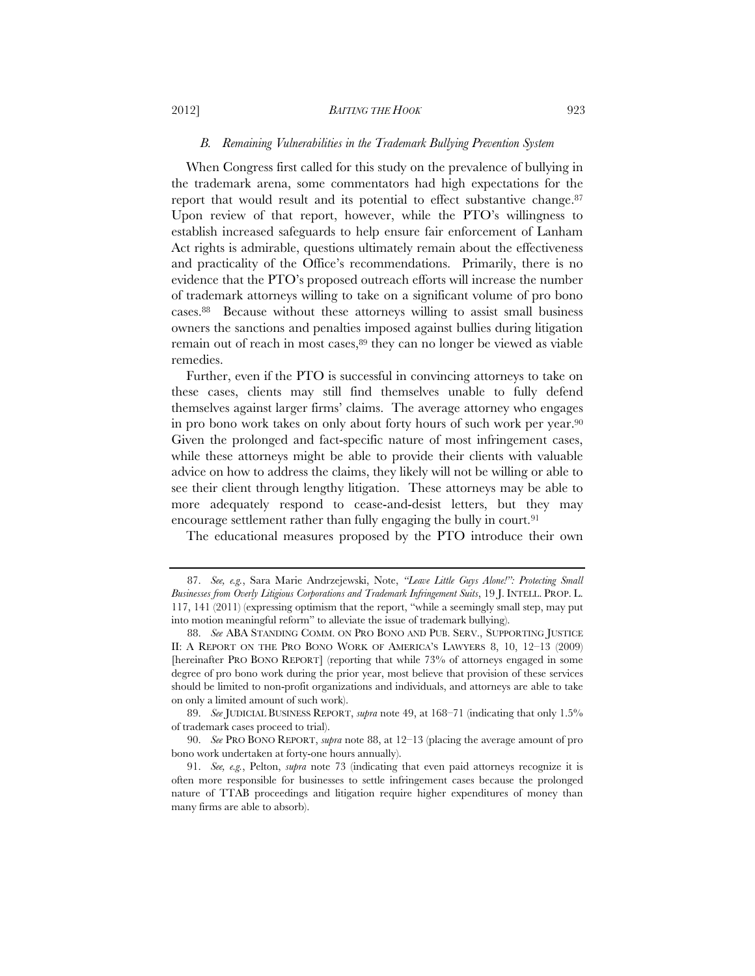# *B. Remaining Vulnerabilities in the Trademark Bullying Prevention System*

When Congress first called for this study on the prevalence of bullying in the trademark arena, some commentators had high expectations for the report that would result and its potential to effect substantive change.<sup>87</sup> Upon review of that report, however, while the PTO's willingness to establish increased safeguards to help ensure fair enforcement of Lanham Act rights is admirable, questions ultimately remain about the effectiveness and practicality of the Office's recommendations. Primarily, there is no evidence that the PTO's proposed outreach efforts will increase the number of trademark attorneys willing to take on a significant volume of pro bono cases.88 Because without these attorneys willing to assist small business owners the sanctions and penalties imposed against bullies during litigation remain out of reach in most cases,<sup>89</sup> they can no longer be viewed as viable remedies.

Further, even if the PTO is successful in convincing attorneys to take on these cases, clients may still find themselves unable to fully defend themselves against larger firms' claims. The average attorney who engages in pro bono work takes on only about forty hours of such work per year.90 Given the prolonged and fact-specific nature of most infringement cases, while these attorneys might be able to provide their clients with valuable advice on how to address the claims, they likely will not be willing or able to see their client through lengthy litigation. These attorneys may be able to more adequately respond to cease-and-desist letters, but they may encourage settlement rather than fully engaging the bully in court.<sup>91</sup>

The educational measures proposed by the PTO introduce their own

 <sup>87.</sup> *See, e.g.*, Sara Marie Andrzejewski, Note, *"Leave Little Guys Alone!": Protecting Small Businesses from Overly Litigious Corporations and Trademark Infringement Suits*, 19 J. INTELL. PROP. L. 117, 141 (2011) (expressing optimism that the report, "while a seemingly small step, may put into motion meaningful reform" to alleviate the issue of trademark bullying).

 <sup>88.</sup> *See* ABA STANDING COMM. ON PRO BONO AND PUB. SERV., SUPPORTING JUSTICE II: A REPORT ON THE PRO BONO WORK OF AMERICA'S LAWYERS 8, 10, 12–13 (2009) [hereinafter PRO BONO REPORT] (reporting that while 73% of attorneys engaged in some degree of pro bono work during the prior year, most believe that provision of these services should be limited to non-profit organizations and individuals, and attorneys are able to take on only a limited amount of such work).

 <sup>89.</sup> *See* JUDICIAL BUSINESS REPORT, *supra* note 49, at 168–71 (indicating that only 1.5% of trademark cases proceed to trial).

 <sup>90.</sup> *See* PRO BONO REPORT, *supra* note 88, at 12–13 (placing the average amount of pro bono work undertaken at forty-one hours annually).

 <sup>91.</sup> *See, e.g.*, Pelton, *supra* note 73 (indicating that even paid attorneys recognize it is often more responsible for businesses to settle infringement cases because the prolonged nature of TTAB proceedings and litigation require higher expenditures of money than many firms are able to absorb).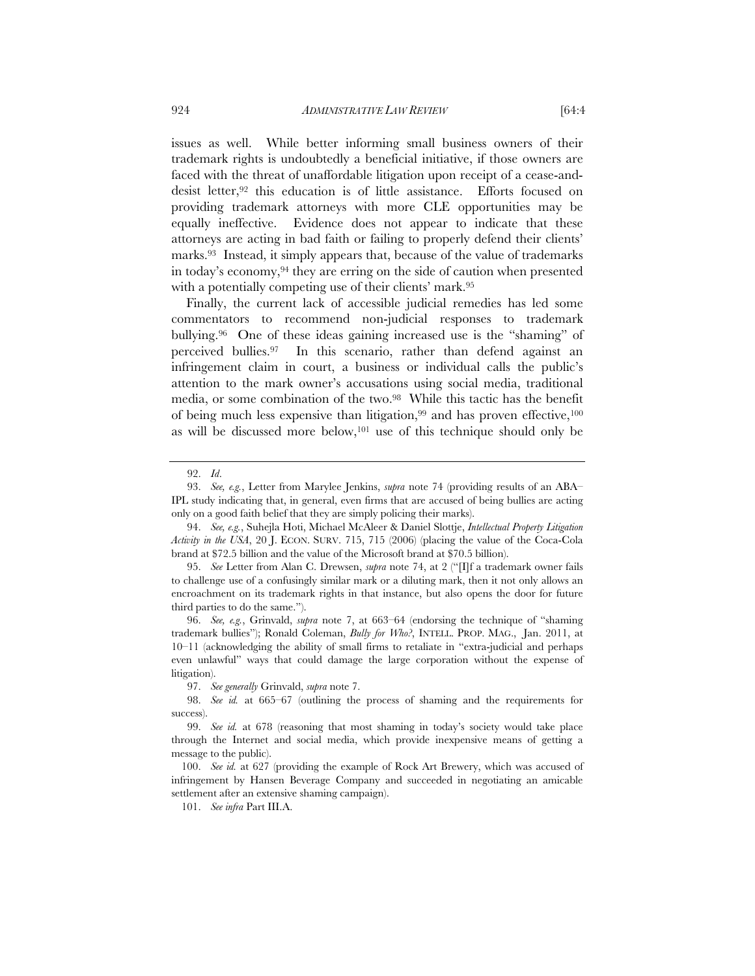issues as well. While better informing small business owners of their trademark rights is undoubtedly a beneficial initiative, if those owners are faced with the threat of unaffordable litigation upon receipt of a cease-anddesist letter,92 this education is of little assistance. Efforts focused on providing trademark attorneys with more CLE opportunities may be equally ineffective. Evidence does not appear to indicate that these attorneys are acting in bad faith or failing to properly defend their clients' marks.<sup>93</sup> Instead, it simply appears that, because of the value of trademarks in today's economy,94 they are erring on the side of caution when presented with a potentially competing use of their clients' mark.95

Finally, the current lack of accessible judicial remedies has led some commentators to recommend non-judicial responses to trademark bullying.96 One of these ideas gaining increased use is the "shaming" of perceived bullies.97 In this scenario, rather than defend against an infringement claim in court, a business or individual calls the public's attention to the mark owner's accusations using social media, traditional media, or some combination of the two.98 While this tactic has the benefit of being much less expensive than litigation,  $99$  and has proven effective,  $100$ as will be discussed more below,101 use of this technique should only be

 <sup>92.</sup> *Id*.

 <sup>93.</sup> *See, e.g.*, Letter from Marylee Jenkins, *supra* note 74 (providing results of an ABA– IPL study indicating that, in general, even firms that are accused of being bullies are acting only on a good faith belief that they are simply policing their marks).

 <sup>94.</sup> *See, e.g.*, Suhejla Hoti, Michael McAleer & Daniel Slottje, *Intellectual Property Litigation Activity in the USA*, 20 J. ECON. SURV. 715, 715 (2006) (placing the value of the Coca-Cola brand at \$72.5 billion and the value of the Microsoft brand at \$70.5 billion).

 <sup>95.</sup> *See* Letter from Alan C. Drewsen, *supra* note 74, at 2 ("[I]f a trademark owner fails to challenge use of a confusingly similar mark or a diluting mark, then it not only allows an encroachment on its trademark rights in that instance, but also opens the door for future third parties to do the same.").

 <sup>96.</sup> *See, e.g.*, Grinvald, *supra* note 7, at 663–64 (endorsing the technique of "shaming trademark bullies"); Ronald Coleman, *Bully for Who?*, INTELL. PROP. MAG., Jan. 2011, at 10–11 (acknowledging the ability of small firms to retaliate in "extra-judicial and perhaps even unlawful" ways that could damage the large corporation without the expense of litigation).

 <sup>97.</sup> *See generally* Grinvald, *supra* note 7.

 <sup>98.</sup> *See id.* at 665–67 (outlining the process of shaming and the requirements for success).

 <sup>99.</sup> *See id.* at 678 (reasoning that most shaming in today's society would take place through the Internet and social media, which provide inexpensive means of getting a message to the public).

 <sup>100.</sup> *See id.* at 627 (providing the example of Rock Art Brewery, which was accused of infringement by Hansen Beverage Company and succeeded in negotiating an amicable settlement after an extensive shaming campaign).

 <sup>101.</sup> *See infra* Part III.A.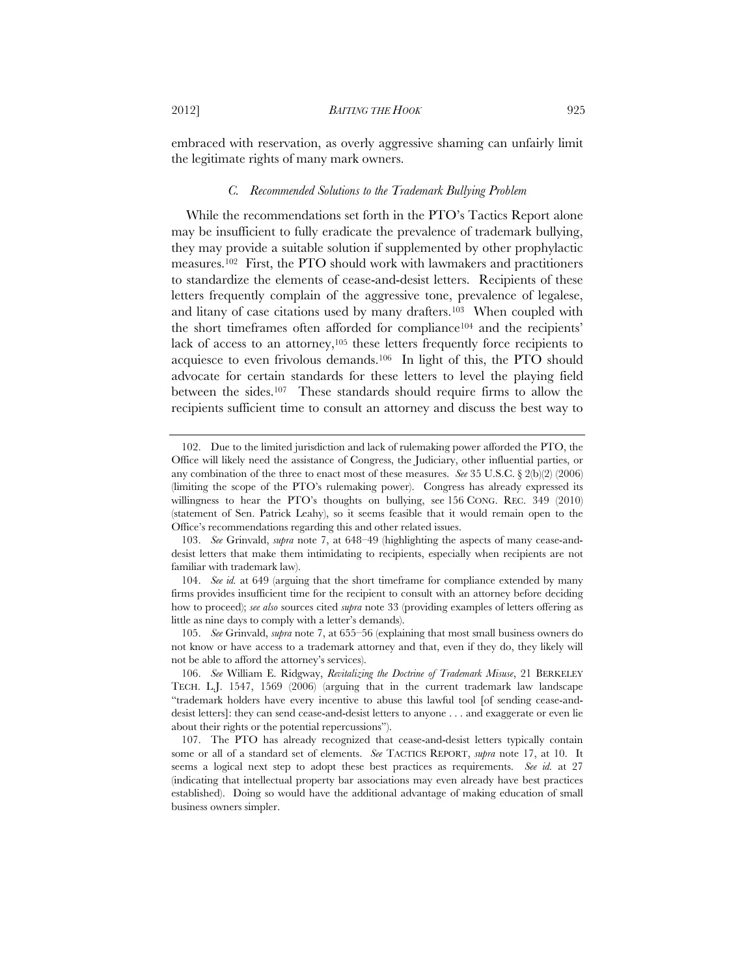embraced with reservation, as overly aggressive shaming can unfairly limit the legitimate rights of many mark owners.

# *C. Recommended Solutions to the Trademark Bullying Problem*

While the recommendations set forth in the PTO's Tactics Report alone may be insufficient to fully eradicate the prevalence of trademark bullying, they may provide a suitable solution if supplemented by other prophylactic measures.102 First, the PTO should work with lawmakers and practitioners to standardize the elements of cease-and-desist letters. Recipients of these letters frequently complain of the aggressive tone, prevalence of legalese, and litany of case citations used by many drafters.103 When coupled with the short timeframes often afforded for compliance104 and the recipients' lack of access to an attorney,<sup>105</sup> these letters frequently force recipients to acquiesce to even frivolous demands.106 In light of this, the PTO should advocate for certain standards for these letters to level the playing field between the sides.107 These standards should require firms to allow the recipients sufficient time to consult an attorney and discuss the best way to

 <sup>102.</sup> Due to the limited jurisdiction and lack of rulemaking power afforded the PTO, the Office will likely need the assistance of Congress, the Judiciary, other influential parties, or any combination of the three to enact most of these measures. *See* 35 U.S.C. § 2(b)(2) (2006) (limiting the scope of the PTO's rulemaking power). Congress has already expressed its willingness to hear the PTO's thoughts on bullying, see 156 CONG. REC. 349 (2010) (statement of Sen. Patrick Leahy), so it seems feasible that it would remain open to the Office's recommendations regarding this and other related issues.

 <sup>103.</sup> *See* Grinvald, *supra* note 7, at 648–49 (highlighting the aspects of many cease-anddesist letters that make them intimidating to recipients, especially when recipients are not familiar with trademark law).

 <sup>104.</sup> *See id.* at 649 (arguing that the short timeframe for compliance extended by many firms provides insufficient time for the recipient to consult with an attorney before deciding how to proceed); *see also* sources cited *supra* note 33 (providing examples of letters offering as little as nine days to comply with a letter's demands).

 <sup>105.</sup> *See* Grinvald, *supra* note 7, at 655–56 (explaining that most small business owners do not know or have access to a trademark attorney and that, even if they do, they likely will not be able to afford the attorney's services).

 <sup>106.</sup> *See* William E. Ridgway, *Revitalizing the Doctrine of Trademark Misuse*, 21 BERKELEY TECH. L.J. 1547, 1569 (2006) (arguing that in the current trademark law landscape "trademark holders have every incentive to abuse this lawful tool [of sending cease-anddesist letters]: they can send cease-and-desist letters to anyone . . . and exaggerate or even lie about their rights or the potential repercussions").

 <sup>107.</sup> The PTO has already recognized that cease-and-desist letters typically contain some or all of a standard set of elements. *See* TACTICS REPORT, *supra* note 17, at 10. It seems a logical next step to adopt these best practices as requirements. *See id.* at 27 (indicating that intellectual property bar associations may even already have best practices established). Doing so would have the additional advantage of making education of small business owners simpler.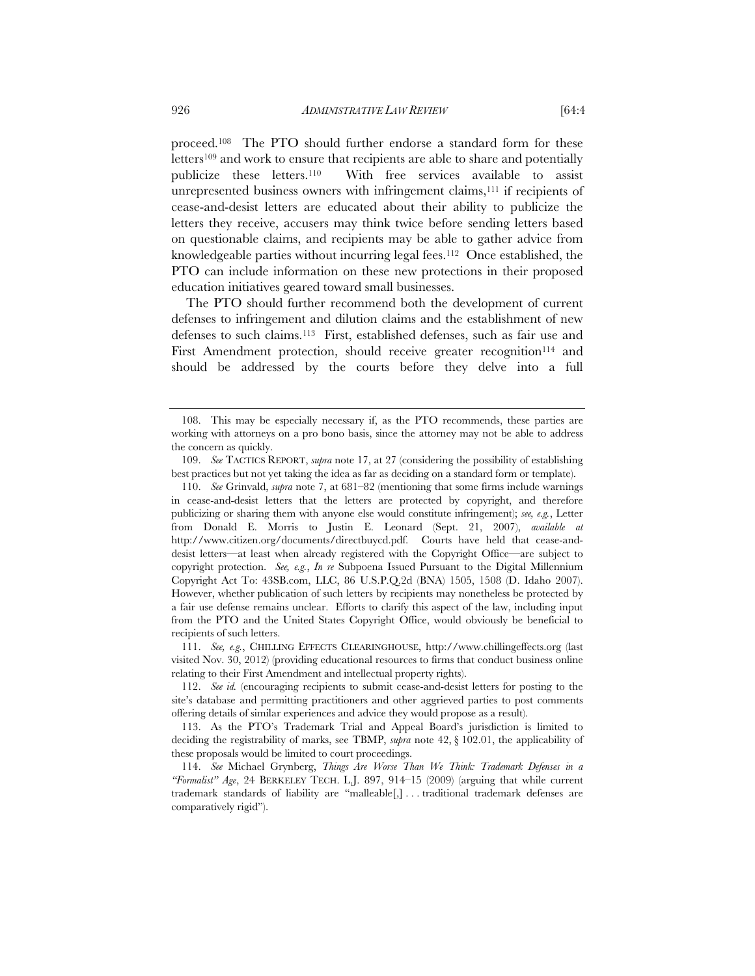proceed.108 The PTO should further endorse a standard form for these letters<sup>109</sup> and work to ensure that recipients are able to share and potentially publicize these letters.110 With free services available to assist unrepresented business owners with infringement claims,111 if recipients of cease-and-desist letters are educated about their ability to publicize the letters they receive, accusers may think twice before sending letters based on questionable claims, and recipients may be able to gather advice from knowledgeable parties without incurring legal fees.112 Once established, the PTO can include information on these new protections in their proposed education initiatives geared toward small businesses.

The PTO should further recommend both the development of current defenses to infringement and dilution claims and the establishment of new defenses to such claims.113 First, established defenses, such as fair use and First Amendment protection, should receive greater recognition<sup>114</sup> and should be addressed by the courts before they delve into a full

 111. *See, e.g.*, CHILLING EFFECTS CLEARINGHOUSE, http://www.chillingeffects.org (last visited Nov. 30, 2012) (providing educational resources to firms that conduct business online relating to their First Amendment and intellectual property rights).

 112. *See id.* (encouraging recipients to submit cease-and-desist letters for posting to the site's database and permitting practitioners and other aggrieved parties to post comments offering details of similar experiences and advice they would propose as a result).

 <sup>108.</sup> This may be especially necessary if, as the PTO recommends, these parties are working with attorneys on a pro bono basis, since the attorney may not be able to address the concern as quickly.

 <sup>109.</sup> *See* TACTICS REPORT, *supra* note 17, at 27 (considering the possibility of establishing best practices but not yet taking the idea as far as deciding on a standard form or template).

 <sup>110.</sup> *See* Grinvald, *supra* note 7, at 681–82 (mentioning that some firms include warnings in cease-and-desist letters that the letters are protected by copyright, and therefore publicizing or sharing them with anyone else would constitute infringement); *see, e.g.*, Letter from Donald E. Morris to Justin E. Leonard (Sept. 21, 2007), *available at*  http://www.citizen.org/documents/directbuycd.pdf. Courts have held that cease-anddesist letters—at least when already registered with the Copyright Office—are subject to copyright protection. *See, e.g.*, *In re* Subpoena Issued Pursuant to the Digital Millennium Copyright Act To: 43SB.com, LLC, 86 U.S.P.Q.2d (BNA) 1505, 1508 (D. Idaho 2007). However, whether publication of such letters by recipients may nonetheless be protected by a fair use defense remains unclear. Efforts to clarify this aspect of the law, including input from the PTO and the United States Copyright Office, would obviously be beneficial to recipients of such letters.

 <sup>113.</sup> As the PTO's Trademark Trial and Appeal Board's jurisdiction is limited to deciding the registrability of marks, see TBMP, *supra* note 42, § 102.01, the applicability of these proposals would be limited to court proceedings.

 <sup>114.</sup> *See* Michael Grynberg, *Things Are Worse Than We Think: Trademark Defenses in a "Formalist" Age*, 24 BERKELEY TECH. L.J. 897, 914–15 (2009) (arguing that while current trademark standards of liability are "malleable[,] . . . traditional trademark defenses are comparatively rigid").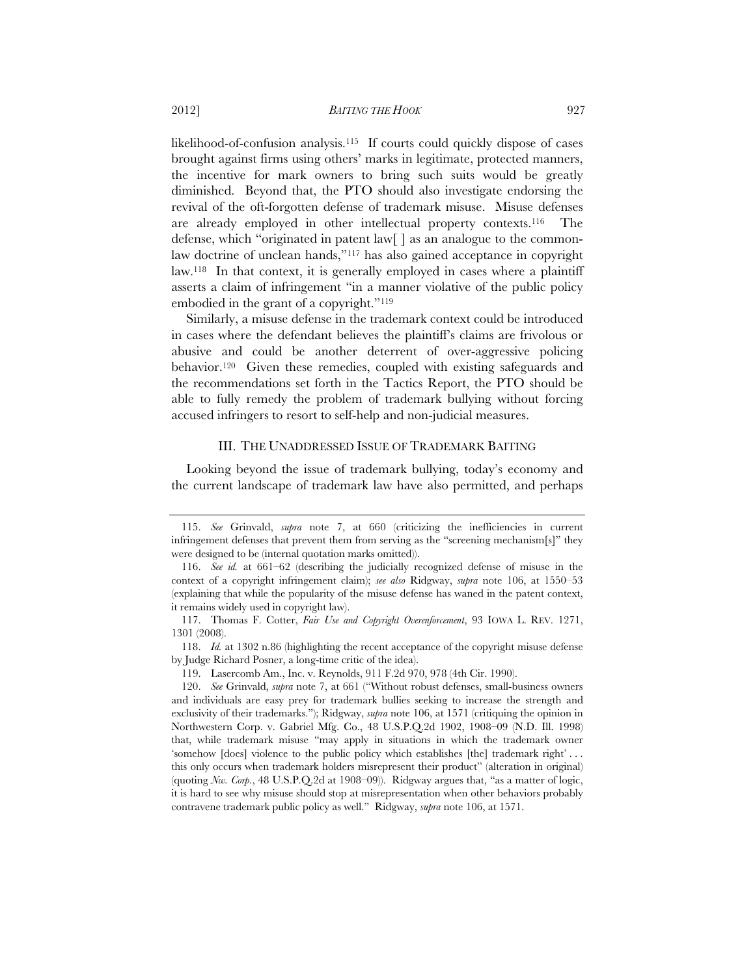likelihood-of-confusion analysis.115 If courts could quickly dispose of cases brought against firms using others' marks in legitimate, protected manners, the incentive for mark owners to bring such suits would be greatly diminished. Beyond that, the PTO should also investigate endorsing the revival of the oft-forgotten defense of trademark misuse. Misuse defenses are already employed in other intellectual property contexts.116 The defense, which "originated in patent law[ ] as an analogue to the commonlaw doctrine of unclean hands,"117 has also gained acceptance in copyright law.118 In that context, it is generally employed in cases where a plaintiff asserts a claim of infringement "in a manner violative of the public policy embodied in the grant of a copyright."119

Similarly, a misuse defense in the trademark context could be introduced in cases where the defendant believes the plaintiff's claims are frivolous or abusive and could be another deterrent of over-aggressive policing behavior.120 Given these remedies, coupled with existing safeguards and the recommendations set forth in the Tactics Report, the PTO should be able to fully remedy the problem of trademark bullying without forcing accused infringers to resort to self-help and non-judicial measures.

# III. THE UNADDRESSED ISSUE OF TRADEMARK BAITING

Looking beyond the issue of trademark bullying, today's economy and the current landscape of trademark law have also permitted, and perhaps

 <sup>115.</sup> *See* Grinvald, *supra* note 7, at 660 (criticizing the inefficiencies in current infringement defenses that prevent them from serving as the "screening mechanism[s]" they were designed to be (internal quotation marks omitted)).

 <sup>116.</sup> *See id.* at 661–62 (describing the judicially recognized defense of misuse in the context of a copyright infringement claim); *see also* Ridgway, *supra* note 106, at 1550–53 (explaining that while the popularity of the misuse defense has waned in the patent context, it remains widely used in copyright law).

 <sup>117.</sup> Thomas F. Cotter, *Fair Use and Copyright Overenforcement*, 93 IOWA L. REV. 1271, 1301 (2008).

 <sup>118.</sup> *Id.* at 1302 n.86 (highlighting the recent acceptance of the copyright misuse defense by Judge Richard Posner, a long-time critic of the idea).

 <sup>119.</sup> Lasercomb Am., Inc. v. Reynolds, 911 F.2d 970, 978 (4th Cir. 1990).

 <sup>120.</sup> *See* Grinvald, *supra* note 7, at 661 ("Without robust defenses, small-business owners and individuals are easy prey for trademark bullies seeking to increase the strength and exclusivity of their trademarks."); Ridgway, *supra* note 106, at 1571 (critiquing the opinion in Northwestern Corp. v. Gabriel Mfg. Co., 48 U.S.P.Q.2d 1902, 1908–09 (N.D. Ill. 1998) that, while trademark misuse "may apply in situations in which the trademark owner 'somehow [does] violence to the public policy which establishes [the] trademark right' . . . this only occurs when trademark holders misrepresent their product" (alteration in original) (quoting *Nw. Corp.*, 48 U.S.P.Q.2d at 1908–09)). Ridgway argues that, "as a matter of logic, it is hard to see why misuse should stop at misrepresentation when other behaviors probably contravene trademark public policy as well." Ridgway, *supra* note 106, at 1571.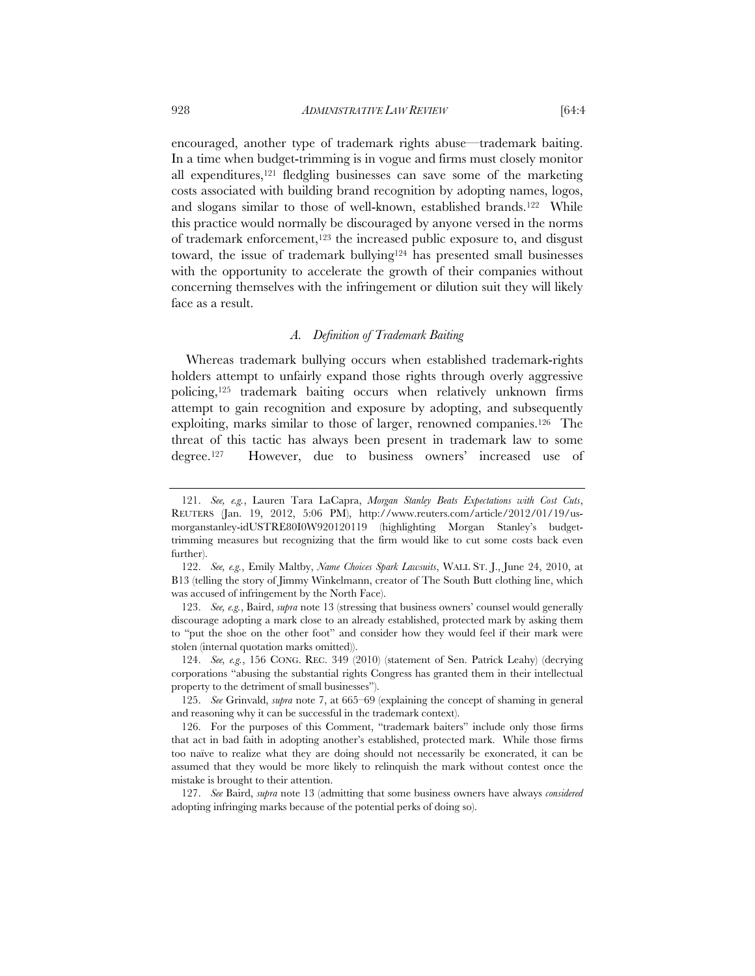encouraged, another type of trademark rights abuse—trademark baiting. In a time when budget-trimming is in vogue and firms must closely monitor all expenditures,121 fledgling businesses can save some of the marketing costs associated with building brand recognition by adopting names, logos, and slogans similar to those of well-known, established brands.<sup>122</sup> While this practice would normally be discouraged by anyone versed in the norms of trademark enforcement,123 the increased public exposure to, and disgust toward, the issue of trademark bullying $124$  has presented small businesses with the opportunity to accelerate the growth of their companies without concerning themselves with the infringement or dilution suit they will likely face as a result.

#### *A. Definition of Trademark Baiting*

Whereas trademark bullying occurs when established trademark-rights holders attempt to unfairly expand those rights through overly aggressive policing,125 trademark baiting occurs when relatively unknown firms attempt to gain recognition and exposure by adopting, and subsequently exploiting, marks similar to those of larger, renowned companies.126 The threat of this tactic has always been present in trademark law to some degree.127 However, due to business owners' increased use of

 <sup>121.</sup> *See, e.g.*, Lauren Tara LaCapra, *Morgan Stanley Beats Expectations with Cost Cuts*, REUTERS (Jan. 19, 2012, 5:06 PM), http://www.reuters.com/article/2012/01/19/usmorganstanley-idUSTRE80I0W920120119 (highlighting Morgan Stanley's budgettrimming measures but recognizing that the firm would like to cut some costs back even further).

 <sup>122.</sup> *See, e.g.*, Emily Maltby, *Name Choices Spark Lawsuits*, WALL ST. J., June 24, 2010, at B13 (telling the story of Jimmy Winkelmann, creator of The South Butt clothing line, which was accused of infringement by the North Face).

 <sup>123.</sup> *See, e.g.*, Baird, *supra* note 13 (stressing that business owners' counsel would generally discourage adopting a mark close to an already established, protected mark by asking them to "put the shoe on the other foot" and consider how they would feel if their mark were stolen (internal quotation marks omitted)).

 <sup>124.</sup> *See, e.g.*, 156 CONG. REC. 349 (2010) (statement of Sen. Patrick Leahy) (decrying corporations "abusing the substantial rights Congress has granted them in their intellectual property to the detriment of small businesses").

 <sup>125.</sup> *See* Grinvald, *supra* note 7, at 665–69 (explaining the concept of shaming in general and reasoning why it can be successful in the trademark context).

 <sup>126.</sup> For the purposes of this Comment, "trademark baiters" include only those firms that act in bad faith in adopting another's established, protected mark. While those firms too naïve to realize what they are doing should not necessarily be exonerated, it can be assumed that they would be more likely to relinquish the mark without contest once the mistake is brought to their attention.

 <sup>127.</sup> *See* Baird, *supra* note 13 (admitting that some business owners have always *considered* adopting infringing marks because of the potential perks of doing so).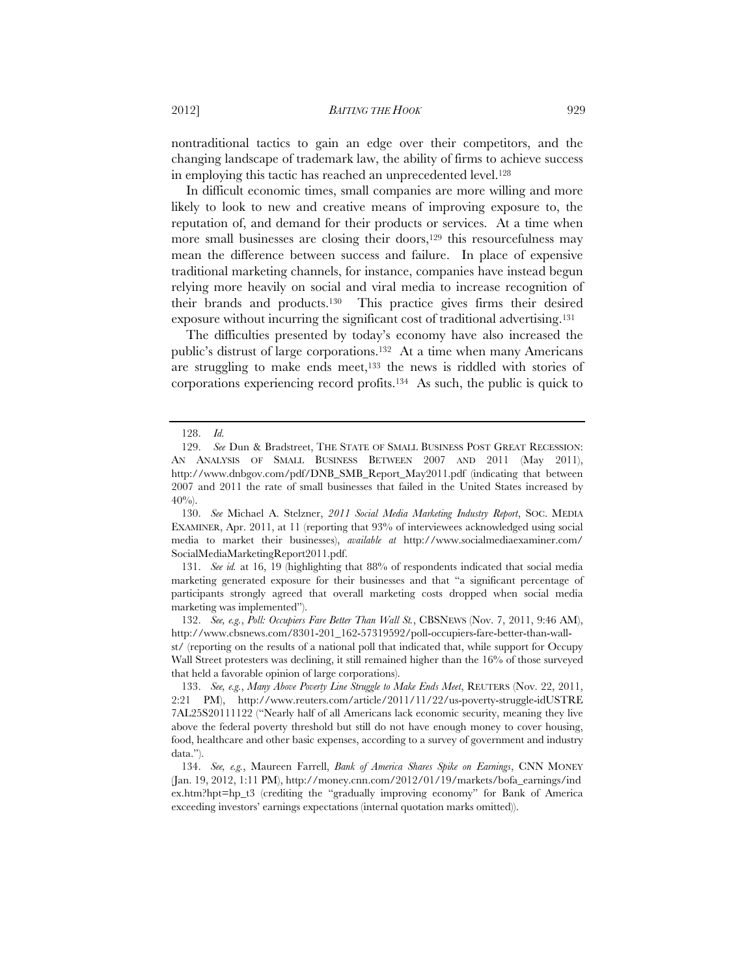nontraditional tactics to gain an edge over their competitors, and the changing landscape of trademark law, the ability of firms to achieve success in employing this tactic has reached an unprecedented level.<sup>128</sup>

In difficult economic times, small companies are more willing and more likely to look to new and creative means of improving exposure to, the reputation of, and demand for their products or services. At a time when more small businesses are closing their doors,<sup>129</sup> this resourcefulness may mean the difference between success and failure. In place of expensive traditional marketing channels, for instance, companies have instead begun relying more heavily on social and viral media to increase recognition of their brands and products.130 This practice gives firms their desired exposure without incurring the significant cost of traditional advertising.131

The difficulties presented by today's economy have also increased the public's distrust of large corporations.132 At a time when many Americans are struggling to make ends meet,<sup>133</sup> the news is riddled with stories of corporations experiencing record profits.134 As such, the public is quick to

 131. *See id.* at 16, 19 (highlighting that 88% of respondents indicated that social media marketing generated exposure for their businesses and that "a significant percentage of participants strongly agreed that overall marketing costs dropped when social media marketing was implemented").

 132. *See, e.g.*, *Poll: Occupiers Fare Better Than Wall St.*, CBSNEWS (Nov. 7, 2011, 9:46 AM), http://www.cbsnews.com/8301-201\_162-57319592/poll-occupiers-fare-better-than-wall-

st/ (reporting on the results of a national poll that indicated that, while support for Occupy Wall Street protesters was declining, it still remained higher than the 16% of those surveyed that held a favorable opinion of large corporations).

 <sup>128.</sup> *Id.* See Dun & Bradstreet, THE STATE OF SMALL BUSINESS POST GREAT RECESSION: AN ANALYSIS OF SMALL BUSINESS BETWEEN 2007 AND 2011 (May 2011), http://www.dnbgov.com/pdf/DNB\_SMB\_Report\_May2011.pdf (indicating that between 2007 and 2011 the rate of small businesses that failed in the United States increased by  $40\%$ ).

 <sup>130.</sup> *See* Michael A. Stelzner, *2011 Social Media Marketing Industry Report*, SOC. MEDIA EXAMINER, Apr. 2011, at 11 (reporting that 93% of interviewees acknowledged using social media to market their businesses), *available at* http://www.socialmediaexaminer.com/ SocialMediaMarketingReport2011.pdf.

 <sup>133.</sup> *See, e.g.*, *Many Above Poverty Line Struggle to Make Ends Meet*, REUTERS (Nov. 22, 2011, 2:21 PM), http://www.reuters.com/article/2011/11/22/us-poverty-struggle-idUSTRE 7AL25S20111122 ("Nearly half of all Americans lack economic security, meaning they live above the federal poverty threshold but still do not have enough money to cover housing, food, healthcare and other basic expenses, according to a survey of government and industry data.").

 <sup>134.</sup> *See, e.g.*, Maureen Farrell, *Bank of America Shares Spike on Earnings*, CNN MONEY (Jan. 19, 2012, 1:11 PM), http://money.cnn.com/2012/01/19/markets/bofa\_earnings/ind ex.htm?hpt=hp\_t3 (crediting the "gradually improving economy" for Bank of America exceeding investors' earnings expectations (internal quotation marks omitted)).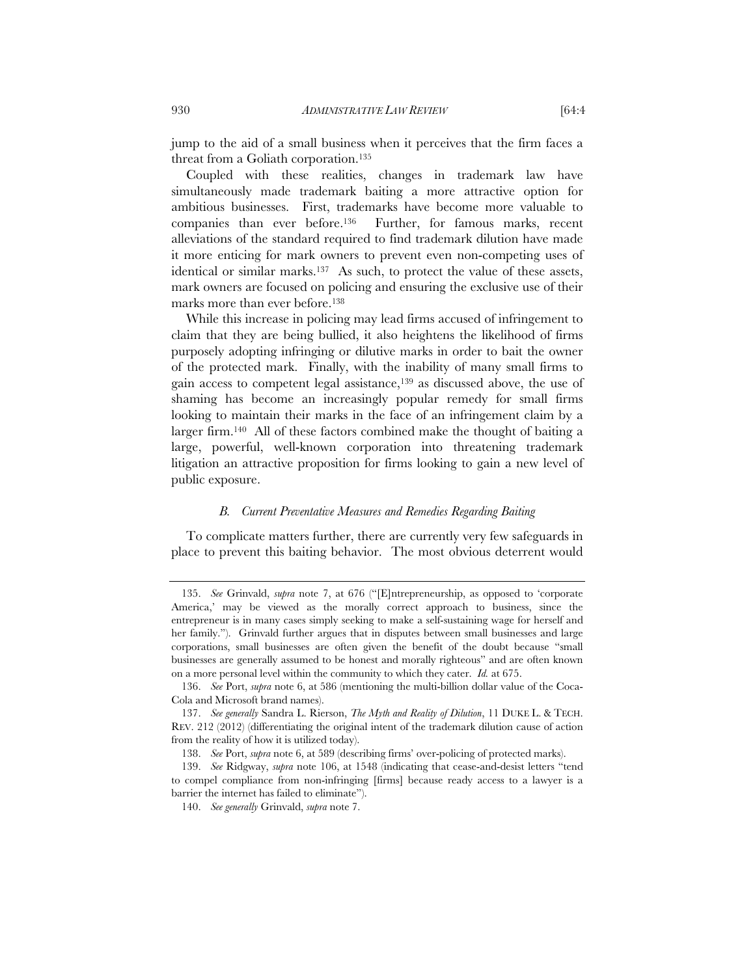jump to the aid of a small business when it perceives that the firm faces a threat from a Goliath corporation.135

Coupled with these realities, changes in trademark law have simultaneously made trademark baiting a more attractive option for ambitious businesses. First, trademarks have become more valuable to companies than ever before.136 Further, for famous marks, recent alleviations of the standard required to find trademark dilution have made it more enticing for mark owners to prevent even non-competing uses of identical or similar marks.<sup>137</sup> As such, to protect the value of these assets, mark owners are focused on policing and ensuring the exclusive use of their marks more than ever before.<sup>138</sup>

While this increase in policing may lead firms accused of infringement to claim that they are being bullied, it also heightens the likelihood of firms purposely adopting infringing or dilutive marks in order to bait the owner of the protected mark. Finally, with the inability of many small firms to gain access to competent legal assistance,139 as discussed above, the use of shaming has become an increasingly popular remedy for small firms looking to maintain their marks in the face of an infringement claim by a larger firm.140 All of these factors combined make the thought of baiting a large, powerful, well-known corporation into threatening trademark litigation an attractive proposition for firms looking to gain a new level of public exposure.

### *B. Current Preventative Measures and Remedies Regarding Baiting*

To complicate matters further, there are currently very few safeguards in place to prevent this baiting behavior. The most obvious deterrent would

 <sup>135.</sup> *See* Grinvald, *supra* note 7, at 676 ("[E]ntrepreneurship, as opposed to 'corporate America,' may be viewed as the morally correct approach to business, since the entrepreneur is in many cases simply seeking to make a self-sustaining wage for herself and her family."). Grinvald further argues that in disputes between small businesses and large corporations, small businesses are often given the benefit of the doubt because "small businesses are generally assumed to be honest and morally righteous" and are often known on a more personal level within the community to which they cater. *Id.* at 675.

 <sup>136.</sup> *See* Port, *supra* note 6, at 586 (mentioning the multi-billion dollar value of the Coca-Cola and Microsoft brand names).

 <sup>137.</sup> *See generally* Sandra L. Rierson, *The Myth and Reality of Dilution*, 11 DUKE L. & TECH. REV. 212 (2012) (differentiating the original intent of the trademark dilution cause of action from the reality of how it is utilized today).

 <sup>138.</sup> *See* Port, *supra* note 6, at 589 (describing firms' over-policing of protected marks).

 <sup>139.</sup> *See* Ridgway, *supra* note 106, at 1548 (indicating that cease-and-desist letters "tend to compel compliance from non-infringing [firms] because ready access to a lawyer is a barrier the internet has failed to eliminate").

 <sup>140.</sup> *See generally* Grinvald, *supra* note 7.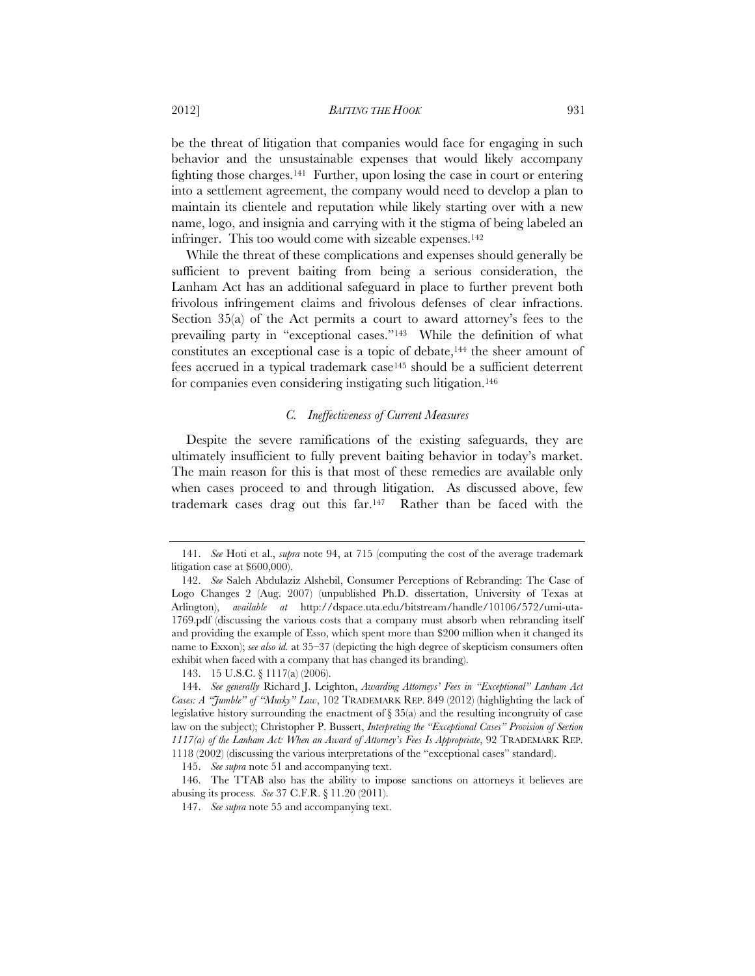#### 2012] *BAITING THE HOOK* 931

be the threat of litigation that companies would face for engaging in such behavior and the unsustainable expenses that would likely accompany fighting those charges.141 Further, upon losing the case in court or entering into a settlement agreement, the company would need to develop a plan to maintain its clientele and reputation while likely starting over with a new name, logo, and insignia and carrying with it the stigma of being labeled an infringer. This too would come with sizeable expenses.142

While the threat of these complications and expenses should generally be sufficient to prevent baiting from being a serious consideration, the Lanham Act has an additional safeguard in place to further prevent both frivolous infringement claims and frivolous defenses of clear infractions. Section 35(a) of the Act permits a court to award attorney's fees to the prevailing party in "exceptional cases."143 While the definition of what constitutes an exceptional case is a topic of debate,<sup>144</sup> the sheer amount of fees accrued in a typical trademark case145 should be a sufficient deterrent for companies even considering instigating such litigation.146

# *C. Ineffectiveness of Current Measures*

Despite the severe ramifications of the existing safeguards, they are ultimately insufficient to fully prevent baiting behavior in today's market. The main reason for this is that most of these remedies are available only when cases proceed to and through litigation. As discussed above, few trademark cases drag out this far.147 Rather than be faced with the

 <sup>141.</sup> *See* Hoti et al., *supra* note 94, at 715 (computing the cost of the average trademark litigation case at \$600,000).

 <sup>142.</sup> *See* Saleh Abdulaziz Alshebil, Consumer Perceptions of Rebranding: The Case of Logo Changes 2 (Aug. 2007) (unpublished Ph.D. dissertation, University of Texas at Arlington), *available at* http://dspace.uta.edu/bitstream/handle/10106/572/umi-uta-1769.pdf (discussing the various costs that a company must absorb when rebranding itself and providing the example of Esso, which spent more than \$200 million when it changed its name to Exxon); *see also id.* at 35–37 (depicting the high degree of skepticism consumers often exhibit when faced with a company that has changed its branding).

 <sup>143. 15</sup> U.S.C. § 1117(a) (2006).

 <sup>144.</sup> *See generally* Richard J. Leighton, *Awarding Attorneys' Fees in "Exceptional" Lanham Act Cases: A "Jumble" of "Murky" Law*, 102 TRADEMARK REP. 849 (2012) (highlighting the lack of legislative history surrounding the enactment of  $\S 35(a)$  and the resulting incongruity of case law on the subject); Christopher P. Bussert, *Interpreting the "Exceptional Cases" Provision of Section 1117(a) of the Lanham Act: When an Award of Attorney's Fees Is Appropriate*, 92 TRADEMARK REP. 1118 (2002) (discussing the various interpretations of the "exceptional cases" standard).

 <sup>145.</sup> *See supra* note 51 and accompanying text.

 <sup>146.</sup> The TTAB also has the ability to impose sanctions on attorneys it believes are abusing its process. *See* 37 C.F.R. § 11.20 (2011).

 <sup>147.</sup> *See supra* note 55 and accompanying text.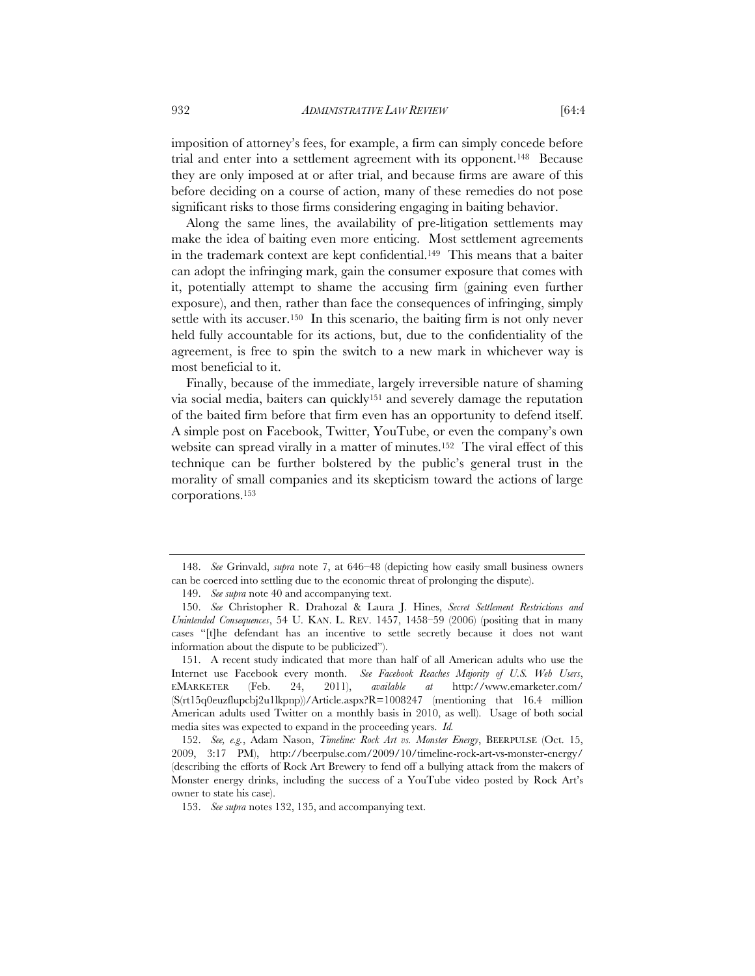932 *ADMINISTRATIVE LAW REVIEW* [64:4

imposition of attorney's fees, for example, a firm can simply concede before trial and enter into a settlement agreement with its opponent.148 Because they are only imposed at or after trial, and because firms are aware of this before deciding on a course of action, many of these remedies do not pose significant risks to those firms considering engaging in baiting behavior.

Along the same lines, the availability of pre-litigation settlements may make the idea of baiting even more enticing. Most settlement agreements in the trademark context are kept confidential.149 This means that a baiter can adopt the infringing mark, gain the consumer exposure that comes with it, potentially attempt to shame the accusing firm (gaining even further exposure), and then, rather than face the consequences of infringing, simply settle with its accuser.<sup>150</sup> In this scenario, the baiting firm is not only never held fully accountable for its actions, but, due to the confidentiality of the agreement, is free to spin the switch to a new mark in whichever way is most beneficial to it.

Finally, because of the immediate, largely irreversible nature of shaming via social media, baiters can quickly151 and severely damage the reputation of the baited firm before that firm even has an opportunity to defend itself. A simple post on Facebook, Twitter, YouTube, or even the company's own website can spread virally in a matter of minutes.152 The viral effect of this technique can be further bolstered by the public's general trust in the morality of small companies and its skepticism toward the actions of large corporations.153

 <sup>148.</sup> *See* Grinvald, *supra* note 7, at 646–48 (depicting how easily small business owners can be coerced into settling due to the economic threat of prolonging the dispute).

 <sup>149.</sup> *See supra* note 40 and accompanying text.

 <sup>150.</sup> *See* Christopher R. Drahozal & Laura J. Hines, *Secret Settlement Restrictions and Unintended Consequences*, 54 U. KAN. L. REV. 1457, 1458–59 (2006) (positing that in many cases "[t]he defendant has an incentive to settle secretly because it does not want information about the dispute to be publicized").

 <sup>151.</sup> A recent study indicated that more than half of all American adults who use the Internet use Facebook every month. *See Facebook Reaches Majority of U.S. Web Users*, EMARKETER (Feb. 24, 2011), *available at* http://www.emarketer.com/  $(S(\text{rt15q0euzflupcbj2u1lkpnp})/Article.aspx?R=1008247 (mentioned that 16.4 million$ American adults used Twitter on a monthly basis in 2010, as well). Usage of both social media sites was expected to expand in the proceeding years. *Id.*

 <sup>152.</sup> *See, e.g.*, Adam Nason, *Timeline: Rock Art vs. Monster Energy*, BEERPULSE (Oct. 15, 2009, 3:17 PM), http://beerpulse.com/2009/10/timeline-rock-art-vs-monster-energy/ (describing the efforts of Rock Art Brewery to fend off a bullying attack from the makers of Monster energy drinks, including the success of a YouTube video posted by Rock Art's owner to state his case).

 <sup>153.</sup> *See supra* notes 132, 135, and accompanying text.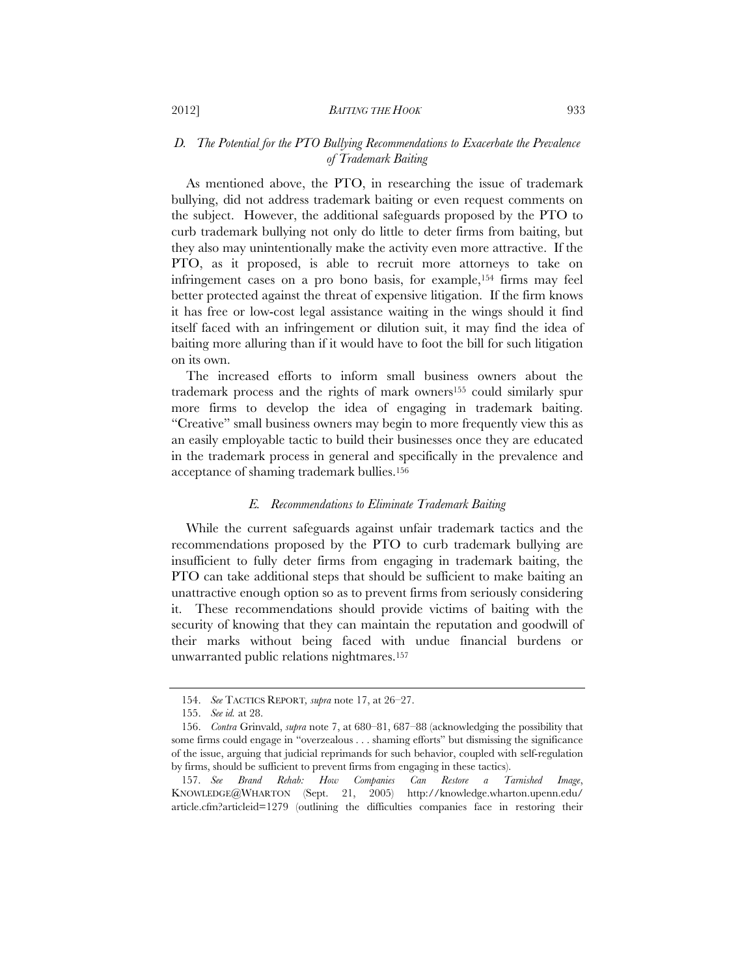# *D. The Potential for the PTO Bullying Recommendations to Exacerbate the Prevalence of Trademark Baiting*

As mentioned above, the PTO, in researching the issue of trademark bullying, did not address trademark baiting or even request comments on the subject. However, the additional safeguards proposed by the PTO to curb trademark bullying not only do little to deter firms from baiting, but they also may unintentionally make the activity even more attractive. If the PTO, as it proposed, is able to recruit more attorneys to take on infringement cases on a pro bono basis, for example,154 firms may feel better protected against the threat of expensive litigation. If the firm knows it has free or low-cost legal assistance waiting in the wings should it find itself faced with an infringement or dilution suit, it may find the idea of baiting more alluring than if it would have to foot the bill for such litigation on its own.

The increased efforts to inform small business owners about the trademark process and the rights of mark owners155 could similarly spur more firms to develop the idea of engaging in trademark baiting. "Creative" small business owners may begin to more frequently view this as an easily employable tactic to build their businesses once they are educated in the trademark process in general and specifically in the prevalence and acceptance of shaming trademark bullies.156

#### *E. Recommendations to Eliminate Trademark Baiting*

While the current safeguards against unfair trademark tactics and the recommendations proposed by the PTO to curb trademark bullying are insufficient to fully deter firms from engaging in trademark baiting, the PTO can take additional steps that should be sufficient to make baiting an unattractive enough option so as to prevent firms from seriously considering it. These recommendations should provide victims of baiting with the security of knowing that they can maintain the reputation and goodwill of their marks without being faced with undue financial burdens or unwarranted public relations nightmares.157

 <sup>154.</sup> *See* TACTICS REPORT*, supra* note 17, at 26–27.

 <sup>155.</sup> *See id.* at 28.

 <sup>156.</sup> *Contra* Grinvald, *supra* note 7, at 680–81, 687–88 (acknowledging the possibility that some firms could engage in "overzealous . . . shaming efforts" but dismissing the significance of the issue, arguing that judicial reprimands for such behavior, coupled with self-regulation by firms, should be sufficient to prevent firms from engaging in these tactics).

 <sup>157.</sup> *See Brand Rehab: How Companies Can Restore a Tarnished Image*, KNOWLEDGE@WHARTON (Sept. 21, 2005) http://knowledge.wharton.upenn.edu/ article.cfm?articleid=1279 (outlining the difficulties companies face in restoring their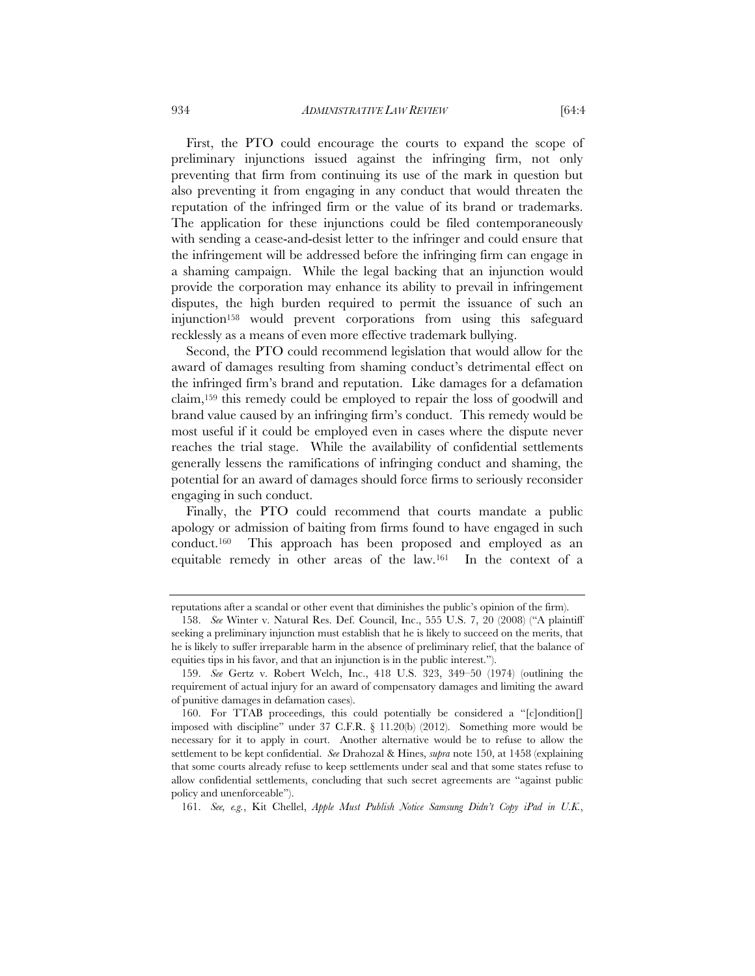First, the PTO could encourage the courts to expand the scope of preliminary injunctions issued against the infringing firm, not only preventing that firm from continuing its use of the mark in question but also preventing it from engaging in any conduct that would threaten the reputation of the infringed firm or the value of its brand or trademarks. The application for these injunctions could be filed contemporaneously with sending a cease-and-desist letter to the infringer and could ensure that the infringement will be addressed before the infringing firm can engage in a shaming campaign. While the legal backing that an injunction would provide the corporation may enhance its ability to prevail in infringement disputes, the high burden required to permit the issuance of such an injunction158 would prevent corporations from using this safeguard recklessly as a means of even more effective trademark bullying.

Second, the PTO could recommend legislation that would allow for the award of damages resulting from shaming conduct's detrimental effect on the infringed firm's brand and reputation. Like damages for a defamation claim,159 this remedy could be employed to repair the loss of goodwill and brand value caused by an infringing firm's conduct. This remedy would be most useful if it could be employed even in cases where the dispute never reaches the trial stage. While the availability of confidential settlements generally lessens the ramifications of infringing conduct and shaming, the potential for an award of damages should force firms to seriously reconsider engaging in such conduct.

Finally, the PTO could recommend that courts mandate a public apology or admission of baiting from firms found to have engaged in such conduct.160 This approach has been proposed and employed as an equitable remedy in other areas of the law.161 In the context of a

reputations after a scandal or other event that diminishes the public's opinion of the firm).

 <sup>158.</sup> *See* Winter v. Natural Res. Def. Council, Inc., 555 U.S. 7, 20 (2008) ("A plaintiff seeking a preliminary injunction must establish that he is likely to succeed on the merits, that he is likely to suffer irreparable harm in the absence of preliminary relief, that the balance of equities tips in his favor, and that an injunction is in the public interest.").

 <sup>159.</sup> *See* Gertz v. Robert Welch, Inc., 418 U.S. 323, 349–50 (1974) (outlining the requirement of actual injury for an award of compensatory damages and limiting the award of punitive damages in defamation cases).

 <sup>160.</sup> For TTAB proceedings, this could potentially be considered a "[c]ondition[] imposed with discipline" under 37 C.F.R. § 11.20(b) (2012). Something more would be necessary for it to apply in court. Another alternative would be to refuse to allow the settlement to be kept confidential. *See* Drahozal & Hines, *supra* note 150, at 1458 (explaining that some courts already refuse to keep settlements under seal and that some states refuse to allow confidential settlements, concluding that such secret agreements are "against public policy and unenforceable").

 <sup>161.</sup> *See, e.g.*, Kit Chellel, *Apple Must Publish Notice Samsung Didn't Copy iPad in U.K.*,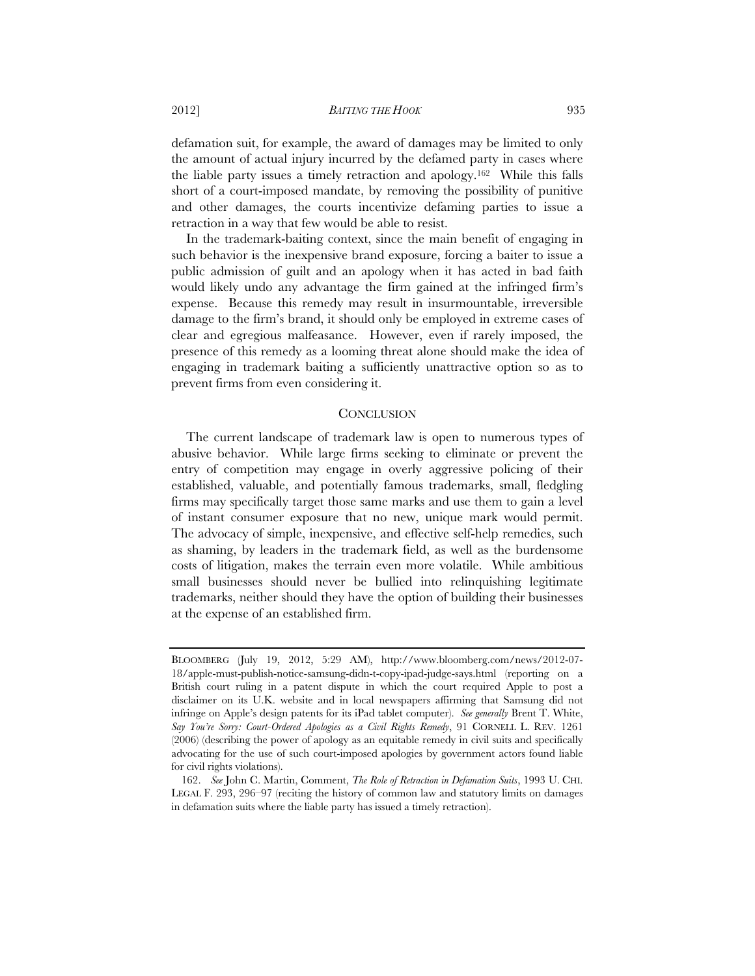2012] *BAITING THE HOOK* 935

defamation suit, for example, the award of damages may be limited to only the amount of actual injury incurred by the defamed party in cases where the liable party issues a timely retraction and apology.162 While this falls short of a court-imposed mandate, by removing the possibility of punitive and other damages, the courts incentivize defaming parties to issue a retraction in a way that few would be able to resist.

In the trademark-baiting context, since the main benefit of engaging in such behavior is the inexpensive brand exposure, forcing a baiter to issue a public admission of guilt and an apology when it has acted in bad faith would likely undo any advantage the firm gained at the infringed firm's expense. Because this remedy may result in insurmountable, irreversible damage to the firm's brand, it should only be employed in extreme cases of clear and egregious malfeasance. However, even if rarely imposed, the presence of this remedy as a looming threat alone should make the idea of engaging in trademark baiting a sufficiently unattractive option so as to prevent firms from even considering it.

# **CONCLUSION**

The current landscape of trademark law is open to numerous types of abusive behavior. While large firms seeking to eliminate or prevent the entry of competition may engage in overly aggressive policing of their established, valuable, and potentially famous trademarks, small, fledgling firms may specifically target those same marks and use them to gain a level of instant consumer exposure that no new, unique mark would permit. The advocacy of simple, inexpensive, and effective self-help remedies, such as shaming, by leaders in the trademark field, as well as the burdensome costs of litigation, makes the terrain even more volatile. While ambitious small businesses should never be bullied into relinquishing legitimate trademarks, neither should they have the option of building their businesses at the expense of an established firm.

BLOOMBERG (July 19, 2012, 5:29 AM), http://www.bloomberg.com/news/2012-07- 18/apple-must-publish-notice-samsung-didn-t-copy-ipad-judge-says.html (reporting on a British court ruling in a patent dispute in which the court required Apple to post a disclaimer on its U.K. website and in local newspapers affirming that Samsung did not infringe on Apple's design patents for its iPad tablet computer). *See generally* Brent T. White, *Say You're Sorry: Court-Ordered Apologies as a Civil Rights Remedy*, 91 CORNELL L. REV. 1261 (2006) (describing the power of apology as an equitable remedy in civil suits and specifically advocating for the use of such court-imposed apologies by government actors found liable for civil rights violations).

 <sup>162.</sup> *See* John C. Martin, Comment, *The Role of Retraction in Defamation Suits*, 1993 U. CHI. LEGAL F. 293, 296–97 (reciting the history of common law and statutory limits on damages in defamation suits where the liable party has issued a timely retraction).